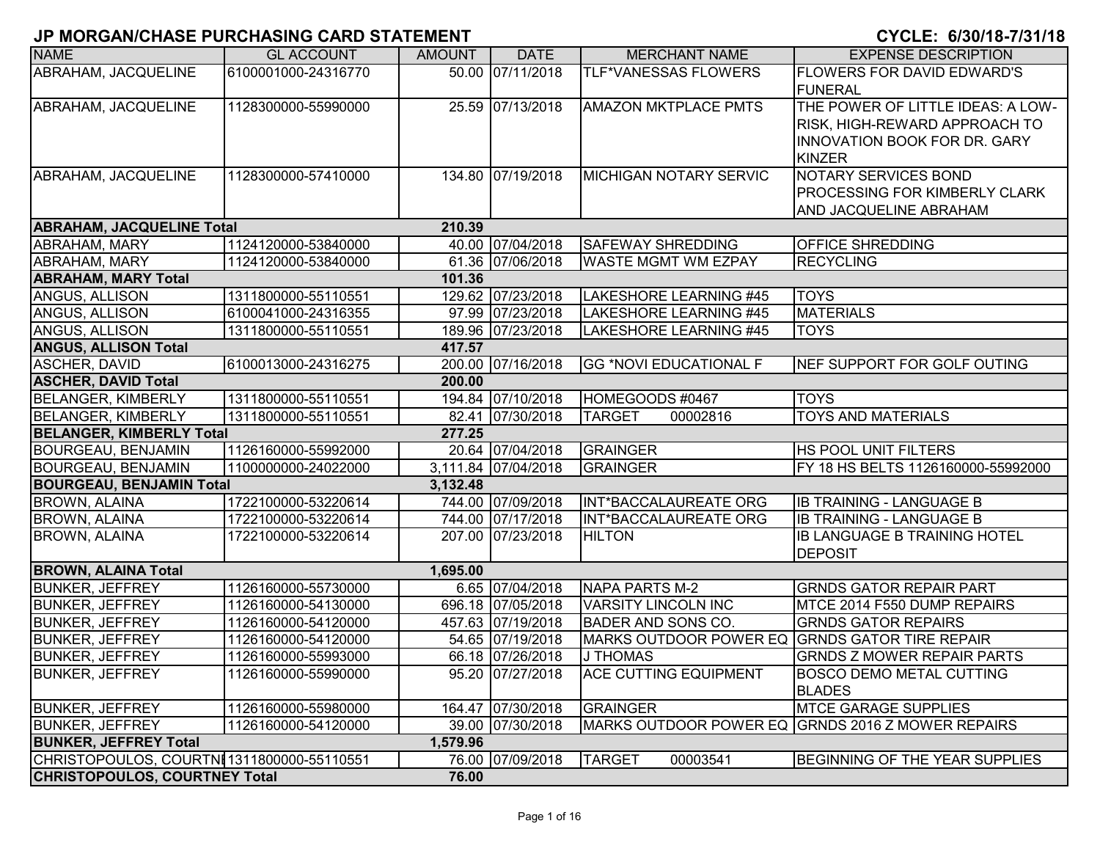|                                            | ו וווסווסהוויט שוואט טווסהווסיוט ו בטהווס ווהוכוחו וט |               |                     |                                                | <u>UIULL. UIUUI IU-IIU II IU</u>                                                                                    |
|--------------------------------------------|-------------------------------------------------------|---------------|---------------------|------------------------------------------------|---------------------------------------------------------------------------------------------------------------------|
| <b>NAME</b>                                | <b>GL ACCOUNT</b>                                     | <b>AMOUNT</b> | <b>DATE</b>         | <b>MERCHANT NAME</b>                           | <b>EXPENSE DESCRIPTION</b>                                                                                          |
| ABRAHAM, JACQUELINE                        | 6100001000-24316770                                   |               | 50.00 07/11/2018    | TLF*VANESSAS FLOWERS                           | <b>FLOWERS FOR DAVID EDWARD'S</b><br><b>FUNERAL</b>                                                                 |
| ABRAHAM, JACQUELINE                        | 1128300000-55990000                                   |               | 25.59 07/13/2018    | <b>AMAZON MKTPLACE PMTS</b>                    | THE POWER OF LITTLE IDEAS: A LOW-<br>RISK, HIGH-REWARD APPROACH TO<br>INNOVATION BOOK FOR DR. GARY<br><b>KINZER</b> |
| ABRAHAM, JACQUELINE                        | 1128300000-57410000                                   |               | 134.80 07/19/2018   | <b>MICHIGAN NOTARY SERVIC</b>                  | <b>NOTARY SERVICES BOND</b><br><b>PROCESSING FOR KIMBERLY CLARK</b><br>AND JACQUELINE ABRAHAM                       |
| <b>ABRAHAM, JACQUELINE Total</b>           |                                                       | 210.39        |                     |                                                |                                                                                                                     |
| ABRAHAM, MARY                              | 1124120000-53840000                                   |               | 40.00 07/04/2018    | <b>SAFEWAY SHREDDING</b>                       | <b>OFFICE SHREDDING</b>                                                                                             |
| <b>ABRAHAM, MARY</b>                       | 1124120000-53840000                                   |               | 61.36 07/06/2018    | WASTE MGMT WM EZPAY                            | <b>RECYCLING</b>                                                                                                    |
| <b>ABRAHAM, MARY Total</b>                 |                                                       | 101.36        |                     |                                                |                                                                                                                     |
| ANGUS, ALLISON                             | 1311800000-55110551                                   |               | 129.62 07/23/2018   | LAKESHORE LEARNING #45                         | <b>TOYS</b>                                                                                                         |
| ANGUS, ALLISON                             | 6100041000-24316355                                   |               | 97.99 07/23/2018    | LAKESHORE LEARNING #45                         | <b>MATERIALS</b>                                                                                                    |
| ANGUS, ALLISON                             | 1311800000-55110551                                   |               | 189.96 07/23/2018   | LAKESHORE LEARNING #45                         | <b>TOYS</b>                                                                                                         |
| <b>ANGUS, ALLISON Total</b>                |                                                       | 417.57        |                     |                                                |                                                                                                                     |
| <b>ASCHER, DAVID</b>                       | 6100013000-24316275                                   |               | 200.00 07/16/2018   | <b>GG *NOVI EDUCATIONAL F</b>                  | NEF SUPPORT FOR GOLF OUTING                                                                                         |
| <b>ASCHER, DAVID Total</b>                 |                                                       | 200.00        |                     |                                                |                                                                                                                     |
| <b>BELANGER, KIMBERLY</b>                  | 1311800000-55110551                                   |               | 194.84 07/10/2018   | HOMEGOODS #0467                                | <b>TOYS</b>                                                                                                         |
| <b>BELANGER, KIMBERLY</b>                  | 1311800000-55110551                                   |               | 82.41 07/30/2018    | <b>TARGET</b><br>00002816                      | <b>TOYS AND MATERIALS</b>                                                                                           |
| <b>BELANGER, KIMBERLY Total</b>            |                                                       | 277.25        |                     |                                                |                                                                                                                     |
| <b>BOURGEAU, BENJAMIN</b>                  | 1126160000-55992000                                   |               | 20.64 07/04/2018    | <b>GRAINGER</b>                                | <b>HS POOL UNIT FILTERS</b>                                                                                         |
| <b>BOURGEAU, BENJAMIN</b>                  | 1100000000-24022000                                   |               | 3,111.84 07/04/2018 | <b>GRAINGER</b>                                | FY 18 HS BELTS 1126160000-55992000                                                                                  |
| <b>BOURGEAU, BENJAMIN Total</b>            |                                                       | 3,132.48      |                     |                                                |                                                                                                                     |
| <b>BROWN, ALAINA</b>                       | 1722100000-53220614                                   |               | 744.00 07/09/2018   | INT*BACCALAUREATE ORG                          | <b>IB TRAINING - LANGUAGE B</b>                                                                                     |
| <b>BROWN, ALAINA</b>                       | 1722100000-53220614                                   |               | 744.00 07/17/2018   | INT*BACCALAUREATE ORG                          | <b>IB TRAINING - LANGUAGE B</b>                                                                                     |
| <b>BROWN, ALAINA</b>                       | 1722100000-53220614                                   |               | 207.00 07/23/2018   | <b>HILTON</b>                                  | <b>IB LANGUAGE B TRAINING HOTEL</b><br><b>DEPOSIT</b>                                                               |
| <b>BROWN, ALAINA Total</b>                 |                                                       | 1,695.00      |                     |                                                |                                                                                                                     |
| <b>BUNKER, JEFFREY</b>                     | 1126160000-55730000                                   |               | 6.65 07/04/2018     | <b>NAPA PARTS M-2</b>                          | <b>GRNDS GATOR REPAIR PART</b>                                                                                      |
| <b>BUNKER, JEFFREY</b>                     | 1126160000-54130000                                   |               | 696.18 07/05/2018   | <b>VARSITY LINCOLN INC</b>                     | MTCE 2014 F550 DUMP REPAIRS                                                                                         |
| <b>BUNKER, JEFFREY</b>                     | 1126160000-54120000                                   |               | 457.63 07/19/2018   | <b>BADER AND SONS CO.</b>                      | <b>GRNDS GATOR REPAIRS</b>                                                                                          |
| <b>BUNKER, JEFFREY</b>                     | 1126160000-54120000                                   |               | 54.65 07/19/2018    | MARKS OUTDOOR POWER EQ GRNDS GATOR TIRE REPAIR |                                                                                                                     |
| <b>BUNKER, JEFFREY</b>                     | 1126160000-55993000                                   |               | 66.18 07/26/2018    | <b>J THOMAS</b>                                | <b>GRNDS Z MOWER REPAIR PARTS</b>                                                                                   |
| <b>BUNKER, JEFFREY</b>                     | 1126160000-55990000                                   |               | 95.20 07/27/2018    | <b>ACE CUTTING EQUIPMENT</b>                   | <b>BOSCO DEMO METAL CUTTING</b><br><b>BLADES</b>                                                                    |
| <b>BUNKER, JEFFREY</b>                     | 1126160000-55980000                                   |               | 164.47 07/30/2018   | <b>GRAINGER</b>                                | <b>MTCE GARAGE SUPPLIES</b>                                                                                         |
| <b>BUNKER, JEFFREY</b>                     | 1126160000-54120000                                   |               | 39.00 07/30/2018    |                                                | MARKS OUTDOOR POWER EQ GRNDS 2016 Z MOWER REPAIRS                                                                   |
| <b>BUNKER, JEFFREY Total</b>               |                                                       | 1,579.96      |                     |                                                |                                                                                                                     |
| CHRISTOPOULOS, COURTNI 1311800000-55110551 |                                                       |               | 76.00 07/09/2018    | <b>TARGET</b><br>00003541                      | <b>BEGINNING OF THE YEAR SUPPLIES</b>                                                                               |
| <b>CHRISTOPOULOS, COURTNEY Total</b>       |                                                       | 76.00         |                     |                                                |                                                                                                                     |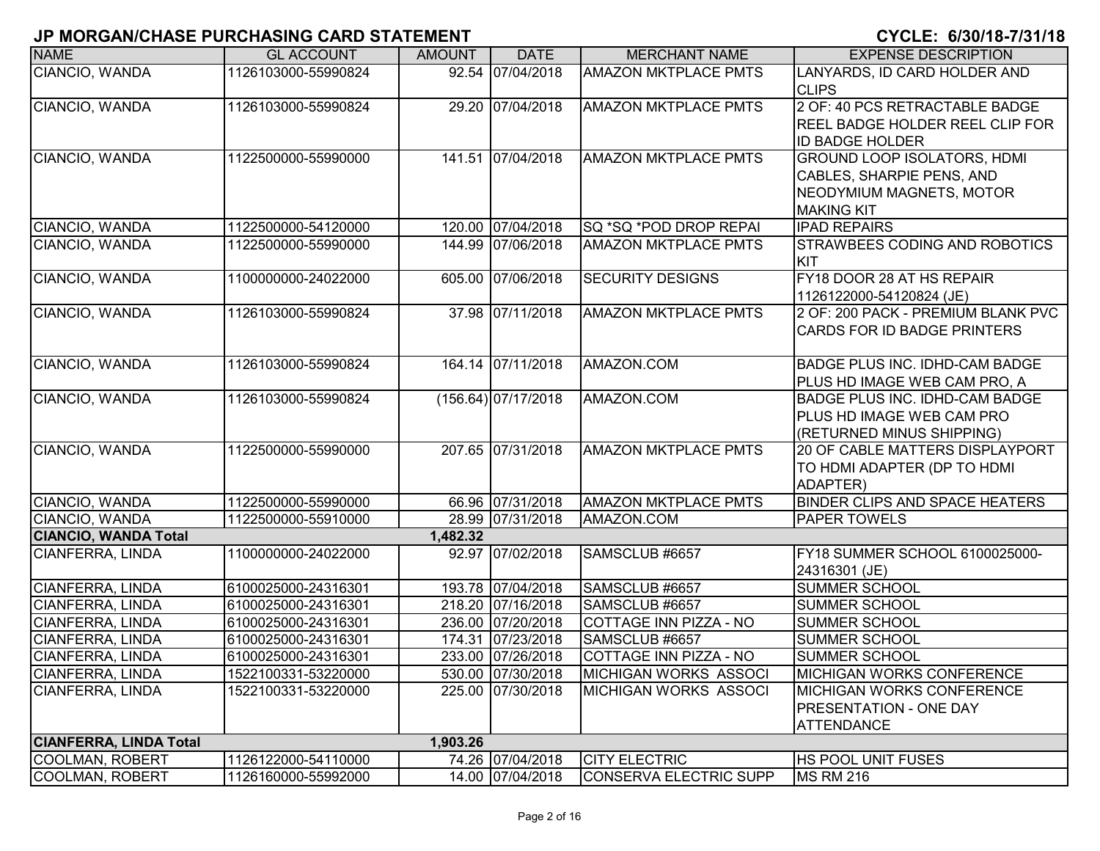| ו ווסווסהשולט שוואס טווסהווסיוס ו בסמווס שומש וטוסוו |                     |               |                       |                               | VIVLL. VIVVI IV-IIV II IV                                                                                        |
|------------------------------------------------------|---------------------|---------------|-----------------------|-------------------------------|------------------------------------------------------------------------------------------------------------------|
| <b>NAME</b>                                          | <b>GL ACCOUNT</b>   | <b>AMOUNT</b> | <b>DATE</b>           | <b>MERCHANT NAME</b>          | <b>EXPENSE DESCRIPTION</b>                                                                                       |
| CIANCIO, WANDA                                       | 1126103000-55990824 |               | 92.54 07/04/2018      | <b>AMAZON MKTPLACE PMTS</b>   | LANYARDS, ID CARD HOLDER AND<br><b>CLIPS</b>                                                                     |
| CIANCIO, WANDA                                       | 1126103000-55990824 |               | 29.20 07/04/2018      | <b>AMAZON MKTPLACE PMTS</b>   | 2 OF: 40 PCS RETRACTABLE BADGE<br>REEL BADGE HOLDER REEL CLIP FOR<br><b>ID BADGE HOLDER</b>                      |
| CIANCIO, WANDA                                       | 1122500000-55990000 |               | 141.51 07/04/2018     | <b>AMAZON MKTPLACE PMTS</b>   | <b>GROUND LOOP ISOLATORS, HDMI</b><br>CABLES, SHARPIE PENS, AND<br>NEODYMIUM MAGNETS, MOTOR<br><b>MAKING KIT</b> |
| CIANCIO, WANDA                                       | 1122500000-54120000 |               | 120.00 07/04/2018     | <b>SQ *SQ *POD DROP REPAI</b> | <b>IPAD REPAIRS</b>                                                                                              |
| CIANCIO, WANDA                                       | 1122500000-55990000 |               | 144.99 07/06/2018     | <b>AMAZON MKTPLACE PMTS</b>   | <b>STRAWBEES CODING AND ROBOTICS</b><br>KIT                                                                      |
| CIANCIO, WANDA                                       | 1100000000-24022000 |               | 605.00 07/06/2018     | <b>SECURITY DESIGNS</b>       | FY18 DOOR 28 AT HS REPAIR<br>1126122000-54120824 (JE)                                                            |
| CIANCIO, WANDA                                       | 1126103000-55990824 |               | 37.98 07/11/2018      | <b>AMAZON MKTPLACE PMTS</b>   | 2 OF: 200 PACK - PREMIUM BLANK PVC<br><b>CARDS FOR ID BADGE PRINTERS</b>                                         |
| CIANCIO, WANDA                                       | 1126103000-55990824 |               | 164.14 07/11/2018     | AMAZON.COM                    | BADGE PLUS INC. IDHD-CAM BADGE<br>PLUS HD IMAGE WEB CAM PRO, A                                                   |
| CIANCIO, WANDA                                       | 1126103000-55990824 |               | $(156.64)$ 07/17/2018 | AMAZON.COM                    | <b>BADGE PLUS INC. IDHD-CAM BADGE</b><br>PLUS HD IMAGE WEB CAM PRO<br>(RETURNED MINUS SHIPPING)                  |
| CIANCIO, WANDA                                       | 1122500000-55990000 |               | 207.65 07/31/2018     | <b>AMAZON MKTPLACE PMTS</b>   | 20 OF CABLE MATTERS DISPLAYPORT<br>TO HDMI ADAPTER (DP TO HDMI<br>ADAPTER)                                       |
| CIANCIO, WANDA                                       | 1122500000-55990000 |               | 66.96 07/31/2018      | <b>AMAZON MKTPLACE PMTS</b>   | <b>BINDER CLIPS AND SPACE HEATERS</b>                                                                            |
| CIANCIO, WANDA                                       | 1122500000-55910000 |               | 28.99 07/31/2018      | AMAZON.COM                    | <b>PAPER TOWELS</b>                                                                                              |
| <b>CIANCIO, WANDA Total</b>                          |                     | 1,482.32      |                       |                               |                                                                                                                  |
| CIANFERRA, LINDA                                     | 1100000000-24022000 |               | 92.97 07/02/2018      | SAMSCLUB #6657                | FY18 SUMMER SCHOOL 6100025000-<br>24316301 (JE)                                                                  |
| CIANFERRA, LINDA                                     | 6100025000-24316301 |               | 193.78 07/04/2018     | SAMSCLUB #6657                | <b>SUMMER SCHOOL</b>                                                                                             |
| CIANFERRA, LINDA                                     | 6100025000-24316301 |               | 218.20 07/16/2018     | SAMSCLUB #6657                | <b>SUMMER SCHOOL</b>                                                                                             |
| CIANFERRA, LINDA                                     | 6100025000-24316301 |               | 236.00 07/20/2018     | COTTAGE INN PIZZA - NO        | <b>SUMMER SCHOOL</b>                                                                                             |
| CIANFERRA, LINDA                                     | 6100025000-24316301 |               | 174.31 07/23/2018     | SAMSCLUB #6657                | <b>SUMMER SCHOOL</b>                                                                                             |
| <b>CIANFERRA, LINDA</b>                              | 6100025000-24316301 |               | 233.00 07/26/2018     | COTTAGE INN PIZZA - NO        | <b>SUMMER SCHOOL</b>                                                                                             |
| CIANFERRA, LINDA                                     | 1522100331-53220000 |               | 530.00 07/30/2018     | <b>MICHIGAN WORKS ASSOCI</b>  | <b>MICHIGAN WORKS CONFERENCE</b>                                                                                 |
| CIANFERRA, LINDA                                     | 1522100331-53220000 |               | 225.00 07/30/2018     | MICHIGAN WORKS ASSOCI         | <b>MICHIGAN WORKS CONFERENCE</b><br><b>PRESENTATION - ONE DAY</b><br><b>ATTENDANCE</b>                           |
| <b>CIANFERRA, LINDA Total</b>                        |                     | 1,903.26      |                       |                               |                                                                                                                  |
| COOLMAN, ROBERT                                      | 1126122000-54110000 |               | 74.26 07/04/2018      | <b>CITY ELECTRIC</b>          | HS POOL UNIT FUSES                                                                                               |
| <b>COOLMAN, ROBERT</b>                               | 1126160000-55992000 |               | 14.00 07/04/2018      | CONSERVA ELECTRIC SUPP        | <b>MS RM 216</b>                                                                                                 |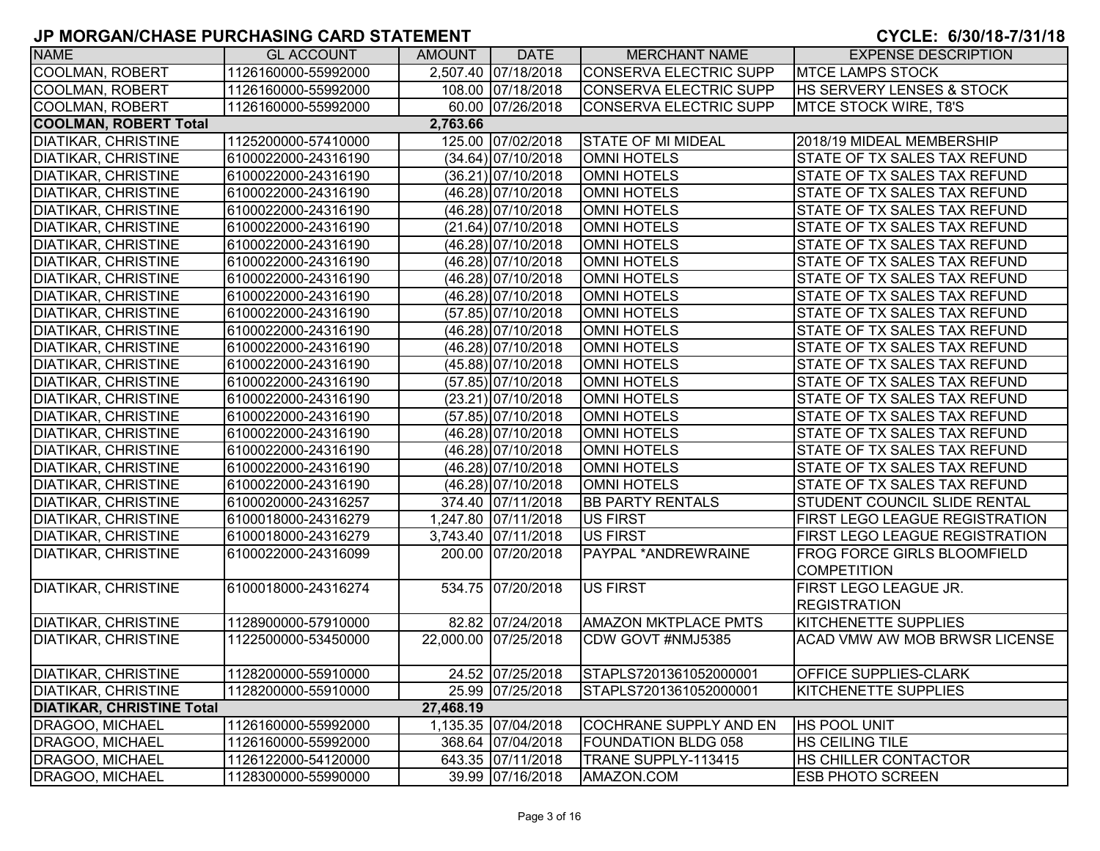**8**

| <b>NAME</b>                      | <b>GL ACCOUNT</b>   | <b>AMOUNT</b> | <b>DATE</b>          | <b>MERCHANT NAME</b>          | <b>EXPENSE DESCRIPTION</b>            |
|----------------------------------|---------------------|---------------|----------------------|-------------------------------|---------------------------------------|
| <b>COOLMAN, ROBERT</b>           | 1126160000-55992000 |               | 2,507.40 07/18/2018  | <b>CONSERVA ELECTRIC SUPP</b> | <b>MTCE LAMPS STOCK</b>               |
| <b>COOLMAN, ROBERT</b>           | 1126160000-55992000 |               | 108.00 07/18/2018    | <b>CONSERVA ELECTRIC SUPP</b> | <b>HS SERVERY LENSES &amp; STOCK</b>  |
| <b>COOLMAN, ROBERT</b>           | 1126160000-55992000 |               | 60.00 07/26/2018     | CONSERVA ELECTRIC SUPP        | <b>MTCE STOCK WIRE, T8'S</b>          |
| <b>COOLMAN, ROBERT Total</b>     |                     | 2,763.66      |                      |                               |                                       |
| <b>DIATIKAR, CHRISTINE</b>       | 1125200000-57410000 |               | 125.00 07/02/2018    | <b>STATE OF MI MIDEAL</b>     | 2018/19 MIDEAL MEMBERSHIP             |
| <b>DIATIKAR, CHRISTINE</b>       | 6100022000-24316190 |               | $(34.64)$ 07/10/2018 | <b>OMNI HOTELS</b>            | <b>STATE OF TX SALES TAX REFUND</b>   |
| <b>DIATIKAR, CHRISTINE</b>       | 6100022000-24316190 |               | (36.21) 07/10/2018   | <b>OMNI HOTELS</b>            | STATE OF TX SALES TAX REFUND          |
| <b>DIATIKAR, CHRISTINE</b>       | 6100022000-24316190 |               | (46.28) 07/10/2018   | <b>OMNI HOTELS</b>            | STATE OF TX SALES TAX REFUND          |
| <b>DIATIKAR, CHRISTINE</b>       | 6100022000-24316190 |               | (46.28) 07/10/2018   | <b>OMNI HOTELS</b>            | STATE OF TX SALES TAX REFUND          |
| <b>DIATIKAR, CHRISTINE</b>       | 6100022000-24316190 |               | $(21.64)$ 07/10/2018 | <b>OMNI HOTELS</b>            | STATE OF TX SALES TAX REFUND          |
| <b>DIATIKAR, CHRISTINE</b>       | 6100022000-24316190 |               | (46.28) 07/10/2018   | <b>OMNI HOTELS</b>            | STATE OF TX SALES TAX REFUND          |
| <b>DIATIKAR, CHRISTINE</b>       | 6100022000-24316190 |               | (46.28) 07/10/2018   | <b>OMNI HOTELS</b>            | STATE OF TX SALES TAX REFUND          |
| <b>DIATIKAR, CHRISTINE</b>       | 6100022000-24316190 |               | (46.28) 07/10/2018   | <b>OMNI HOTELS</b>            | STATE OF TX SALES TAX REFUND          |
| <b>DIATIKAR, CHRISTINE</b>       | 6100022000-24316190 |               | $(46.28)$ 07/10/2018 | <b>OMNI HOTELS</b>            | STATE OF TX SALES TAX REFUND          |
| <b>DIATIKAR, CHRISTINE</b>       | 6100022000-24316190 |               | (57.85) 07/10/2018   | <b>OMNI HOTELS</b>            | STATE OF TX SALES TAX REFUND          |
| <b>DIATIKAR, CHRISTINE</b>       | 6100022000-24316190 |               | (46.28) 07/10/2018   | <b>OMNI HOTELS</b>            | STATE OF TX SALES TAX REFUND          |
| <b>DIATIKAR, CHRISTINE</b>       | 6100022000-24316190 |               | (46.28) 07/10/2018   | <b>OMNI HOTELS</b>            | STATE OF TX SALES TAX REFUND          |
| <b>DIATIKAR, CHRISTINE</b>       | 6100022000-24316190 |               | (45.88) 07/10/2018   | <b>OMNI HOTELS</b>            | STATE OF TX SALES TAX REFUND          |
| <b>DIATIKAR, CHRISTINE</b>       | 6100022000-24316190 |               | $(57.85)$ 07/10/2018 | <b>OMNI HOTELS</b>            | STATE OF TX SALES TAX REFUND          |
| <b>DIATIKAR, CHRISTINE</b>       | 6100022000-24316190 |               | (23.21) 07/10/2018   | <b>OMNI HOTELS</b>            | STATE OF TX SALES TAX REFUND          |
| <b>DIATIKAR, CHRISTINE</b>       | 6100022000-24316190 |               | $(57.85)$ 07/10/2018 | <b>OMNI HOTELS</b>            | STATE OF TX SALES TAX REFUND          |
| <b>DIATIKAR, CHRISTINE</b>       | 6100022000-24316190 |               | (46.28) 07/10/2018   | <b>OMNI HOTELS</b>            | <b>STATE OF TX SALES TAX REFUND</b>   |
| <b>DIATIKAR, CHRISTINE</b>       | 6100022000-24316190 |               | $(46.28)$ 07/10/2018 | <b>OMNI HOTELS</b>            | STATE OF TX SALES TAX REFUND          |
| <b>DIATIKAR, CHRISTINE</b>       | 6100022000-24316190 |               | (46.28) 07/10/2018   | <b>OMNI HOTELS</b>            | STATE OF TX SALES TAX REFUND          |
| <b>DIATIKAR, CHRISTINE</b>       | 6100022000-24316190 |               | (46.28) 07/10/2018   | <b>OMNI HOTELS</b>            | STATE OF TX SALES TAX REFUND          |
| <b>DIATIKAR, CHRISTINE</b>       | 6100020000-24316257 |               | 374.40 07/11/2018    | <b>BB PARTY RENTALS</b>       | STUDENT COUNCIL SLIDE RENTAL          |
| <b>DIATIKAR, CHRISTINE</b>       | 6100018000-24316279 |               | 1,247.80 07/11/2018  | <b>US FIRST</b>               | <b>FIRST LEGO LEAGUE REGISTRATION</b> |
| <b>DIATIKAR, CHRISTINE</b>       | 6100018000-24316279 |               | 3,743.40 07/11/2018  | <b>US FIRST</b>               | <b>FIRST LEGO LEAGUE REGISTRATION</b> |
| <b>DIATIKAR, CHRISTINE</b>       | 6100022000-24316099 |               | 200.00 07/20/2018    | PAYPAL *ANDREWRAINE           | <b>FROG FORCE GIRLS BLOOMFIELD</b>    |
|                                  |                     |               |                      |                               | <b>COMPETITION</b>                    |
| <b>DIATIKAR, CHRISTINE</b>       | 6100018000-24316274 |               | 534.75 07/20/2018    | <b>US FIRST</b>               | FIRST LEGO LEAGUE JR.                 |
|                                  |                     |               |                      |                               | <b>REGISTRATION</b>                   |
| <b>DIATIKAR, CHRISTINE</b>       | 1128900000-57910000 |               | 82.82 07/24/2018     | <b>AMAZON MKTPLACE PMTS</b>   | KITCHENETTE SUPPLIES                  |
| <b>DIATIKAR, CHRISTINE</b>       | 1122500000-53450000 |               | 22,000.00 07/25/2018 | CDW GOVT #NMJ5385             | ACAD VMW AW MOB BRWSR LICENSE         |
| <b>DIATIKAR, CHRISTINE</b>       | 1128200000-55910000 |               | 24.52 07/25/2018     | STAPLS7201361052000001        | <b>OFFICE SUPPLIES-CLARK</b>          |
| <b>DIATIKAR, CHRISTINE</b>       | 1128200000-55910000 |               | 25.99 07/25/2018     | STAPLS7201361052000001        | <b>KITCHENETTE SUPPLIES</b>           |
| <b>DIATIKAR, CHRISTINE Total</b> |                     | 27,468.19     |                      |                               |                                       |
| DRAGOO, MICHAEL                  | 1126160000-55992000 |               | 1,135.35 07/04/2018  | <b>COCHRANE SUPPLY AND EN</b> | <b>HS POOL UNIT</b>                   |
| DRAGOO, MICHAEL                  | 1126160000-55992000 |               | 368.64 07/04/2018    | <b>FOUNDATION BLDG 058</b>    | HS CEILING TILE                       |
| DRAGOO, MICHAEL                  | 1126122000-54120000 |               | 643.35 07/11/2018    | TRANE SUPPLY-113415           | HS CHILLER CONTACTOR                  |
| DRAGOO, MICHAEL                  | 1128300000-55990000 |               | 39.99 07/16/2018     | AMAZON.COM                    | <b>ESB PHOTO SCREEN</b>               |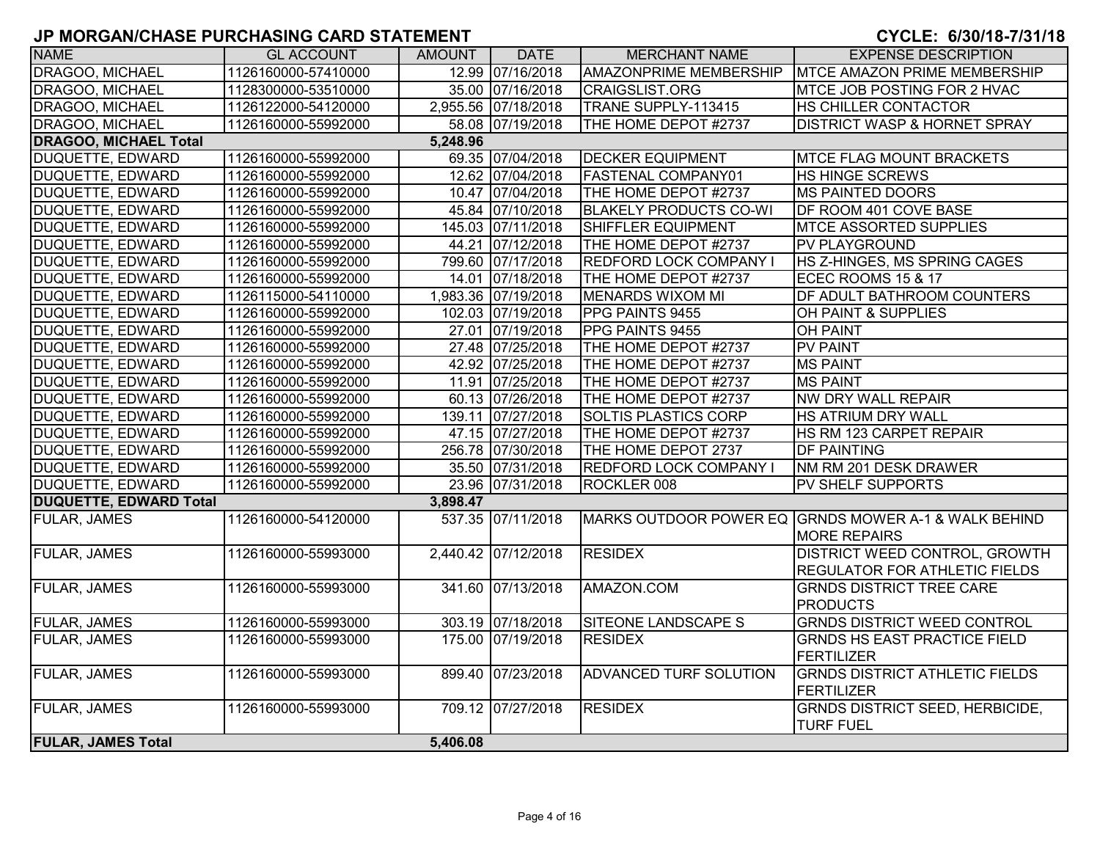#### **8**

| <b>NAME</b>                   | <b>GL ACCOUNT</b>   | AMOUNT   | <b>DATE</b>         | <b>MERCHANT NAME</b>          | <b>EXPENSE DESCRIPTION</b>                                                  |
|-------------------------------|---------------------|----------|---------------------|-------------------------------|-----------------------------------------------------------------------------|
| DRAGOO, MICHAEL               | 1126160000-57410000 |          | 12.99 07/16/2018    | <b>AMAZONPRIME MEMBERSHIP</b> | <b>MTCE AMAZON PRIME MEMBERSHIP</b>                                         |
| DRAGOO, MICHAEL               | 1128300000-53510000 |          | 35.00 07/16/2018    | <b>CRAIGSLIST.ORG</b>         | <b>MTCE JOB POSTING FOR 2 HVAC</b>                                          |
| DRAGOO, MICHAEL               | 1126122000-54120000 |          | 2,955.56 07/18/2018 | TRANE SUPPLY-113415           | HS CHILLER CONTACTOR                                                        |
| DRAGOO, MICHAEL               | 1126160000-55992000 |          | 58.08 07/19/2018    | THE HOME DEPOT #2737          | <b>DISTRICT WASP &amp; HORNET SPRAY</b>                                     |
| <b>DRAGOO, MICHAEL Total</b>  |                     | 5,248.96 |                     |                               |                                                                             |
| DUQUETTE, EDWARD              | 1126160000-55992000 |          | 69.35 07/04/2018    | <b>DECKER EQUIPMENT</b>       | <b>MTCE FLAG MOUNT BRACKETS</b>                                             |
| <b>DUQUETTE, EDWARD</b>       | 1126160000-55992000 |          | 12.62 07/04/2018    | <b>FASTENAL COMPANY01</b>     | HS HINGE SCREWS                                                             |
| <b>DUQUETTE, EDWARD</b>       | 1126160000-55992000 |          | 10.47 07/04/2018    | THE HOME DEPOT #2737          | <b>MS PAINTED DOORS</b>                                                     |
| <b>DUQUETTE, EDWARD</b>       | 1126160000-55992000 |          | 45.84 07/10/2018    | <b>BLAKELY PRODUCTS CO-WI</b> | DF ROOM 401 COVE BASE                                                       |
| DUQUETTE, EDWARD              | 1126160000-55992000 |          | 145.03 07/11/2018   | <b>SHIFFLER EQUIPMENT</b>     | <b>MTCE ASSORTED SUPPLIES</b>                                               |
| DUQUETTE, EDWARD              | 1126160000-55992000 |          | 44.21 07/12/2018    | THE HOME DEPOT #2737          | <b>PV PLAYGROUND</b>                                                        |
| DUQUETTE, EDWARD              | 1126160000-55992000 |          | 799.60 07/17/2018   | <b>REDFORD LOCK COMPANY I</b> | HS Z-HINGES, MS SPRING CAGES                                                |
| DUQUETTE, EDWARD              | 1126160000-55992000 |          | 14.01 07/18/2018    | THE HOME DEPOT #2737          | ECEC ROOMS 15 & 17                                                          |
| <b>DUQUETTE, EDWARD</b>       | 1126115000-54110000 |          | 1,983.36 07/19/2018 | <b>MENARDS WIXOM MI</b>       | DF ADULT BATHROOM COUNTERS                                                  |
| <b>DUQUETTE, EDWARD</b>       | 1126160000-55992000 |          | 102.03 07/19/2018   | PPG PAINTS 9455               | OH PAINT & SUPPLIES                                                         |
| DUQUETTE, EDWARD              | 1126160000-55992000 |          | 27.01 07/19/2018    | PPG PAINTS 9455               | <b>OH PAINT</b>                                                             |
| DUQUETTE, EDWARD              | 1126160000-55992000 |          | 27.48 07/25/2018    | THE HOME DEPOT #2737          | <b>PV PAINT</b>                                                             |
| DUQUETTE, EDWARD              | 1126160000-55992000 |          | 42.92 07/25/2018    | THE HOME DEPOT #2737          | <b>MS PAINT</b>                                                             |
| <b>DUQUETTE, EDWARD</b>       | 1126160000-55992000 |          | 11.91 07/25/2018    | THE HOME DEPOT #2737          | <b>MS PAINT</b>                                                             |
| <b>DUQUETTE, EDWARD</b>       | 1126160000-55992000 |          | 60.13 07/26/2018    | THE HOME DEPOT #2737          | NW DRY WALL REPAIR                                                          |
| <b>DUQUETTE, EDWARD</b>       | 1126160000-55992000 |          | 139.11 07/27/2018   | <b>SOLTIS PLASTICS CORP</b>   | <b>HS ATRIUM DRY WALL</b>                                                   |
| DUQUETTE, EDWARD              | 1126160000-55992000 |          | 47.15 07/27/2018    | THE HOME DEPOT #2737          | HS RM 123 CARPET REPAIR                                                     |
| DUQUETTE, EDWARD              | 1126160000-55992000 |          | 256.78 07/30/2018   | THE HOME DEPOT 2737           | <b>DF PAINTING</b>                                                          |
| <b>DUQUETTE, EDWARD</b>       | 1126160000-55992000 |          | 35.50 07/31/2018    | <b>REDFORD LOCK COMPANY I</b> | NM RM 201 DESK DRAWER                                                       |
| DUQUETTE, EDWARD              | 1126160000-55992000 |          | 23.96 07/31/2018    | ROCKLER 008                   | <b>PV SHELF SUPPORTS</b>                                                    |
| <b>DUQUETTE, EDWARD Total</b> |                     | 3,898.47 |                     |                               |                                                                             |
| <b>FULAR, JAMES</b>           | 1126160000-54120000 |          | 537.35 07/11/2018   |                               | MARKS OUTDOOR POWER EQ GRNDS MOWER A-1 & WALK BEHIND<br><b>MORE REPAIRS</b> |
| <b>FULAR, JAMES</b>           | 1126160000-55993000 |          | 2,440.42 07/12/2018 | <b>RESIDEX</b>                | DISTRICT WEED CONTROL, GROWTH<br><b>REGULATOR FOR ATHLETIC FIELDS</b>       |
| <b>FULAR, JAMES</b>           | 1126160000-55993000 |          | 341.60 07/13/2018   | AMAZON.COM                    | <b>GRNDS DISTRICT TREE CARE</b><br><b>PRODUCTS</b>                          |
| <b>FULAR, JAMES</b>           | 1126160000-55993000 |          | 303.19 07/18/2018   | <b>SITEONE LANDSCAPE S</b>    | <b>GRNDS DISTRICT WEED CONTROL</b>                                          |
| FULAR, JAMES                  | 1126160000-55993000 |          | 175.00 07/19/2018   | <b>RESIDEX</b>                | <b>GRNDS HS EAST PRACTICE FIELD</b><br><b>FERTILIZER</b>                    |
| <b>FULAR, JAMES</b>           | 1126160000-55993000 |          | 899.40 07/23/2018   | ADVANCED TURF SOLUTION        | <b>GRNDS DISTRICT ATHLETIC FIELDS</b><br><b>FERTILIZER</b>                  |
| FULAR, JAMES                  | 1126160000-55993000 |          | 709.12 07/27/2018   | <b>RESIDEX</b>                | <b>GRNDS DISTRICT SEED, HERBICIDE,</b><br><b>TURF FUEL</b>                  |
| <b>FULAR, JAMES Total</b>     |                     | 5,406.08 |                     |                               |                                                                             |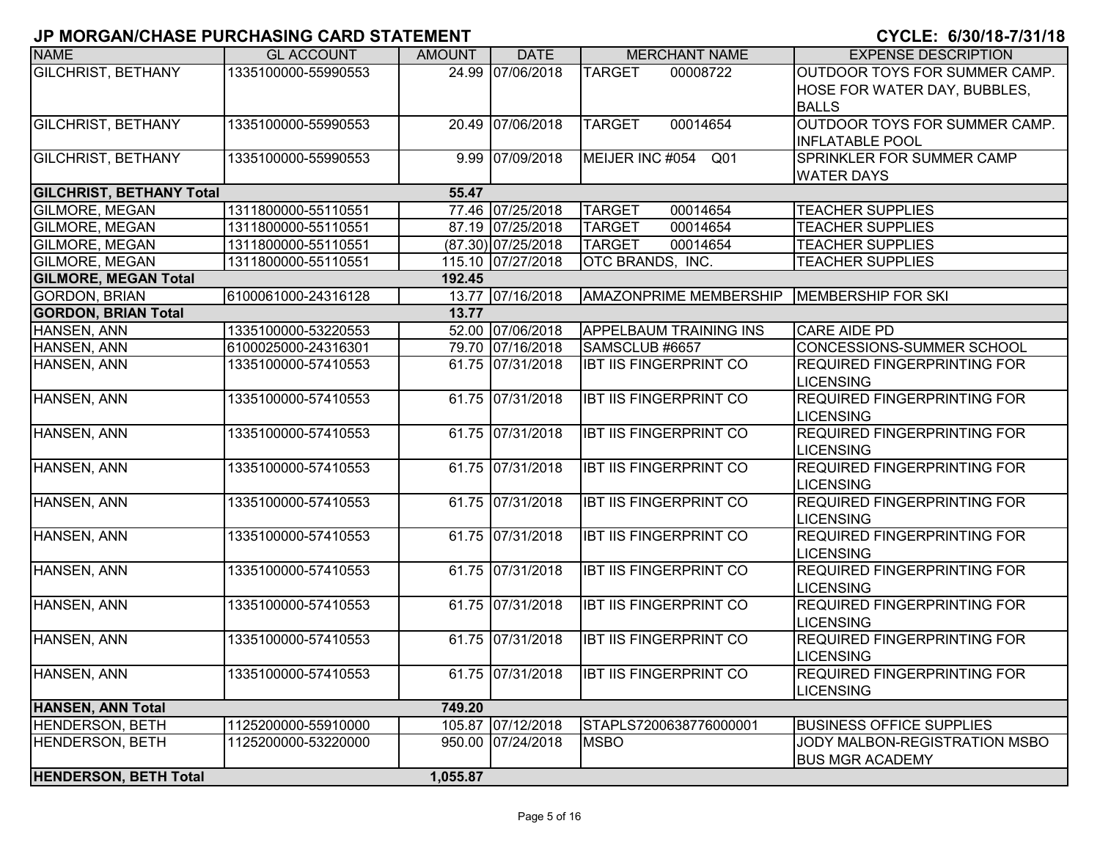| <b>NAME</b>                     | <b>GL ACCOUNT</b>   | <b>AMOUNT</b> | <b>DATE</b>          | <b>MERCHANT NAME</b>          | <b>EXPENSE DESCRIPTION</b>                                       |
|---------------------------------|---------------------|---------------|----------------------|-------------------------------|------------------------------------------------------------------|
| <b>GILCHRIST, BETHANY</b>       | 1335100000-55990553 |               | 24.99 07/06/2018     | <b>TARGET</b><br>00008722     | OUTDOOR TOYS FOR SUMMER CAMP.                                    |
|                                 |                     |               |                      |                               | HOSE FOR WATER DAY, BUBBLES,                                     |
|                                 |                     |               |                      |                               | <b>BALLS</b>                                                     |
| <b>GILCHRIST, BETHANY</b>       | 1335100000-55990553 |               | 20.49 07/06/2018     | 00014654<br><b>TARGET</b>     | OUTDOOR TOYS FOR SUMMER CAMP.                                    |
|                                 |                     |               |                      |                               | <b>INFLATABLE POOL</b>                                           |
| <b>GILCHRIST, BETHANY</b>       | 1335100000-55990553 |               | 9.99 07/09/2018      | MEIJER INC #054<br>Q01        | SPRINKLER FOR SUMMER CAMP                                        |
|                                 |                     |               |                      |                               | <b>WATER DAYS</b>                                                |
| <b>GILCHRIST, BETHANY Total</b> |                     | 55.47         |                      |                               |                                                                  |
| <b>GILMORE, MEGAN</b>           | 1311800000-55110551 |               | 77.46 07/25/2018     | <b>TARGET</b><br>00014654     | <b>TEACHER SUPPLIES</b>                                          |
| <b>GILMORE, MEGAN</b>           | 1311800000-55110551 |               | 87.19 07/25/2018     | <b>TARGET</b><br>00014654     | <b>TEACHER SUPPLIES</b>                                          |
| <b>GILMORE, MEGAN</b>           | 1311800000-55110551 |               | $(87.30)$ 07/25/2018 | <b>TARGET</b><br>00014654     | <b>TEACHER SUPPLIES</b>                                          |
| <b>GILMORE, MEGAN</b>           | 1311800000-55110551 |               | 115.10 07/27/2018    | OTC BRANDS, INC.              | <b>TEACHER SUPPLIES</b>                                          |
| <b>GILMORE, MEGAN Total</b>     |                     | 192.45        |                      |                               |                                                                  |
| <b>GORDON, BRIAN</b>            | 6100061000-24316128 |               | 13.77 07/16/2018     | <b>AMAZONPRIME MEMBERSHIP</b> | MEMBERSHIP FOR SKI                                               |
| <b>GORDON, BRIAN Total</b>      |                     | 13.77         |                      |                               |                                                                  |
| HANSEN, ANN                     | 1335100000-53220553 |               | 52.00 07/06/2018     | <b>APPELBAUM TRAINING INS</b> | <b>CARE AIDE PD</b>                                              |
| <b>HANSEN, ANN</b>              | 6100025000-24316301 |               | 79.70 07/16/2018     | SAMSCLUB #6657                | <b>CONCESSIONS-SUMMER SCHOOL</b>                                 |
| HANSEN, ANN                     | 1335100000-57410553 |               | 61.75 07/31/2018     | <b>IBT IIS FINGERPRINT CO</b> | <b>REQUIRED FINGERPRINTING FOR</b>                               |
|                                 |                     |               |                      |                               | <b>LICENSING</b>                                                 |
| HANSEN, ANN                     | 1335100000-57410553 |               | 61.75 07/31/2018     | <b>IBT IIS FINGERPRINT CO</b> | <b>REQUIRED FINGERPRINTING FOR</b>                               |
|                                 |                     |               |                      |                               | <b>LICENSING</b>                                                 |
| HANSEN, ANN                     | 1335100000-57410553 |               | 61.75 07/31/2018     | <b>IBT IIS FINGERPRINT CO</b> | <b>REQUIRED FINGERPRINTING FOR</b>                               |
|                                 |                     |               |                      |                               | <b>LICENSING</b>                                                 |
| HANSEN, ANN                     | 1335100000-57410553 |               | 61.75 07/31/2018     | <b>IBT IIS FINGERPRINT CO</b> | <b>REQUIRED FINGERPRINTING FOR</b>                               |
|                                 |                     |               |                      |                               | <b>LICENSING</b>                                                 |
| HANSEN, ANN                     | 1335100000-57410553 |               | 61.75 07/31/2018     | <b>IBT IIS FINGERPRINT CO</b> | <b>REQUIRED FINGERPRINTING FOR</b>                               |
|                                 |                     |               |                      |                               | <b>LICENSING</b>                                                 |
| HANSEN, ANN                     | 1335100000-57410553 |               | 61.75 07/31/2018     | <b>IBT IIS FINGERPRINT CO</b> | <b>REQUIRED FINGERPRINTING FOR</b>                               |
|                                 |                     |               |                      |                               | <b>LICENSING</b>                                                 |
| HANSEN, ANN                     | 1335100000-57410553 |               | 61.75 07/31/2018     | <b>IBT IIS FINGERPRINT CO</b> | <b>REQUIRED FINGERPRINTING FOR</b>                               |
|                                 |                     |               |                      |                               | <b>LICENSING</b>                                                 |
| HANSEN, ANN                     | 1335100000-57410553 |               | 61.75 07/31/2018     | <b>IBT IIS FINGERPRINT CO</b> | <b>REQUIRED FINGERPRINTING FOR</b>                               |
|                                 |                     |               |                      |                               | <b>LICENSING</b>                                                 |
| HANSEN, ANN                     | 1335100000-57410553 |               | 61.75 07/31/2018     | <b>IBT IIS FINGERPRINT CO</b> | <b>REQUIRED FINGERPRINTING FOR</b>                               |
|                                 |                     |               |                      |                               | <b>LICENSING</b>                                                 |
| HANSEN, ANN                     | 1335100000-57410553 |               | 61.75 07/31/2018     | <b>IBT IIS FINGERPRINT CO</b> | <b>REQUIRED FINGERPRINTING FOR</b>                               |
| <b>HANSEN, ANN Total</b>        |                     | 749.20        |                      |                               | <b>LICENSING</b>                                                 |
| HENDERSON, BETH                 | 1125200000-55910000 |               | 105.87 07/12/2018    | STAPLS7200638776000001        |                                                                  |
| <b>HENDERSON, BETH</b>          | 1125200000-53220000 |               | 950.00 07/24/2018    | <b>MSBO</b>                   | <b>BUSINESS OFFICE SUPPLIES</b><br>JODY MALBON-REGISTRATION MSBO |
|                                 |                     |               |                      |                               | <b>BUS MGR ACADEMY</b>                                           |
| <b>HENDERSON, BETH Total</b>    |                     | 1,055.87      |                      |                               |                                                                  |
|                                 |                     |               |                      |                               |                                                                  |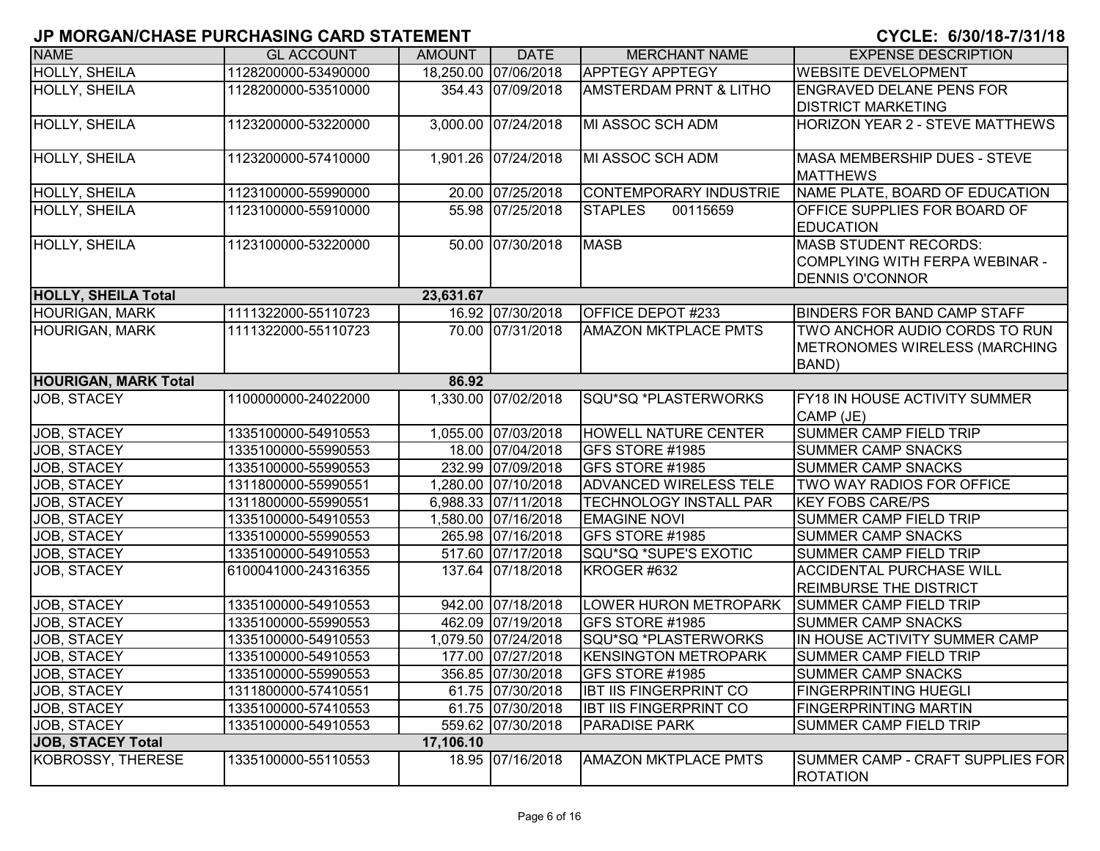| י יוסומם וחלו שוואר שמחורשות של השמות של השמוש וש |                     |               |                      |                                   | VIVLE, VIVVI IV IIV II IV                                                                |
|---------------------------------------------------|---------------------|---------------|----------------------|-----------------------------------|------------------------------------------------------------------------------------------|
| <b>NAME</b>                                       | <b>GL ACCOUNT</b>   | <b>AMOUNT</b> | <b>DATE</b>          | <b>MERCHANT NAME</b>              | <b>EXPENSE DESCRIPTION</b>                                                               |
| <b>HOLLY, SHEILA</b>                              | 1128200000-53490000 |               | 18,250.00 07/06/2018 | <b>APPTEGY APPTEGY</b>            | <b>WEBSITE DEVELOPMENT</b>                                                               |
| <b>HOLLY, SHEILA</b>                              | 1128200000-53510000 |               | 354.43 07/09/2018    | <b>AMSTERDAM PRNT &amp; LITHO</b> | <b>ENGRAVED DELANE PENS FOR</b><br><b>DISTRICT MARKETING</b>                             |
| <b>HOLLY, SHEILA</b>                              | 1123200000-53220000 |               | 3,000.00 07/24/2018  | MI ASSOC SCH ADM                  | HORIZON YEAR 2 - STEVE MATTHEWS                                                          |
| HOLLY, SHEILA                                     | 1123200000-57410000 |               | 1,901.26 07/24/2018  | MI ASSOC SCH ADM                  | <b>MASA MEMBERSHIP DUES - STEVE</b><br><b>MATTHEWS</b>                                   |
| HOLLY, SHEILA                                     | 1123100000-55990000 |               | 20.00 07/25/2018     | <b>CONTEMPORARY INDUSTRIE</b>     | NAME PLATE, BOARD OF EDUCATION                                                           |
| <b>HOLLY, SHEILA</b>                              | 1123100000-55910000 |               | 55.98 07/25/2018     | <b>STAPLES</b><br>00115659        | <b>OFFICE SUPPLIES FOR BOARD OF</b><br><b>EDUCATION</b>                                  |
| HOLLY, SHEILA                                     | 1123100000-53220000 |               | 50.00 07/30/2018     | <b>MASB</b>                       | <b>MASB STUDENT RECORDS:</b><br>COMPLYING WITH FERPA WEBINAR -<br><b>DENNIS O'CONNOR</b> |
| <b>HOLLY, SHEILA Total</b>                        |                     | 23,631.67     |                      |                                   |                                                                                          |
| <b>HOURIGAN, MARK</b>                             | 1111322000-55110723 |               | 16.92 07/30/2018     | OFFICE DEPOT #233                 | <b>BINDERS FOR BAND CAMP STAFF</b>                                                       |
| <b>HOURIGAN, MARK</b>                             | 1111322000-55110723 |               | 70.00 07/31/2018     | <b>AMAZON MKTPLACE PMTS</b>       | TWO ANCHOR AUDIO CORDS TO RUN<br>METRONOMES WIRELESS (MARCHING<br>BAND)                  |
| <b>HOURIGAN, MARK Total</b>                       |                     | 86.92         |                      |                                   |                                                                                          |
| <b>JOB, STACEY</b>                                | 1100000000-24022000 |               | 1,330.00 07/02/2018  | SQU*SQ *PLASTERWORKS              | FY18 IN HOUSE ACTIVITY SUMMER<br>CAMP (JE)                                               |
| JOB, STACEY                                       | 1335100000-54910553 |               | 1,055.00 07/03/2018  | <b>HOWELL NATURE CENTER</b>       | SUMMER CAMP FIELD TRIP                                                                   |
| JOB, STACEY                                       | 1335100000-55990553 |               | 18.00 07/04/2018     | GFS STORE #1985                   | <b>SUMMER CAMP SNACKS</b>                                                                |
| JOB, STACEY                                       | 1335100000-55990553 |               | 232.99 07/09/2018    | GFS STORE #1985                   | <b>SUMMER CAMP SNACKS</b>                                                                |
| JOB, STACEY                                       | 1311800000-55990551 |               | 1,280.00 07/10/2018  | <b>ADVANCED WIRELESS TELE</b>     | TWO WAY RADIOS FOR OFFICE                                                                |
| JOB, STACEY                                       | 1311800000-55990551 |               | 6,988.33 07/11/2018  | <b>TECHNOLOGY INSTALL PAR</b>     | <b>KEY FOBS CARE/PS</b>                                                                  |
| JOB, STACEY                                       | 1335100000-54910553 |               | 1,580.00 07/16/2018  | <b>EMAGINE NOVI</b>               | <b>SUMMER CAMP FIELD TRIP</b>                                                            |
| JOB, STACEY                                       | 1335100000-55990553 |               | 265.98 07/16/2018    | <b>GFS STORE #1985</b>            | <b>SUMMER CAMP SNACKS</b>                                                                |
| JOB, STACEY                                       | 1335100000-54910553 |               | 517.60 07/17/2018    | SQU*SQ *SUPE'S EXOTIC             | <b>SUMMER CAMP FIELD TRIP</b>                                                            |
| JOB, STACEY                                       | 6100041000-24316355 |               | 137.64 07/18/2018    | KROGER #632                       | <b>ACCIDENTAL PURCHASE WILL</b><br><b>REIMBURSE THE DISTRICT</b>                         |
| JOB, STACEY                                       | 1335100000-54910553 |               | 942.00 07/18/2018    | LOWER HURON METROPARK             | <b>SUMMER CAMP FIELD TRIP</b>                                                            |
| <b>JOB, STACEY</b>                                | 1335100000-55990553 |               | 462.09 07/19/2018    | GFS STORE #1985                   | <b>SUMMER CAMP SNACKS</b>                                                                |
| JOB, STACEY                                       | 1335100000-54910553 |               | 1,079.50 07/24/2018  | SQU*SQ *PLASTERWORKS              | IN HOUSE ACTIVITY SUMMER CAMP                                                            |
| <b>JOB, STACEY</b>                                | 1335100000-54910553 |               | 177.00 07/27/2018    | <b>KENSINGTON METROPARK</b>       | <b>SUMMER CAMP FIELD TRIP</b>                                                            |
| JOB, STACEY                                       | 1335100000-55990553 |               | 356.85 07/30/2018    | GFS STORE #1985                   | <b>SUMMER CAMP SNACKS</b>                                                                |
| JOB, STACEY                                       | 1311800000-57410551 |               | 61.75 07/30/2018     | <b>IBT IIS FINGERPRINT CO</b>     | <b>FINGERPRINTING HUEGLI</b>                                                             |
| JOB, STACEY                                       | 1335100000-57410553 |               | 61.75 07/30/2018     | <b>IBT IIS FINGERPRINT CO</b>     | <b>FINGERPRINTING MARTIN</b>                                                             |
| JOB, STACEY                                       | 1335100000-54910553 |               | 559.62 07/30/2018    | <b>PARADISE PARK</b>              | <b>SUMMER CAMP FIELD TRIP</b>                                                            |
| <b>JOB, STACEY Total</b>                          |                     | 17,106.10     |                      |                                   |                                                                                          |
| KOBROSSY, THERESE                                 | 1335100000-55110553 |               | 18.95 07/16/2018     | <b>AMAZON MKTPLACE PMTS</b>       | SUMMER CAMP - CRAFT SUPPLIES FOR<br><b>ROTATION</b>                                      |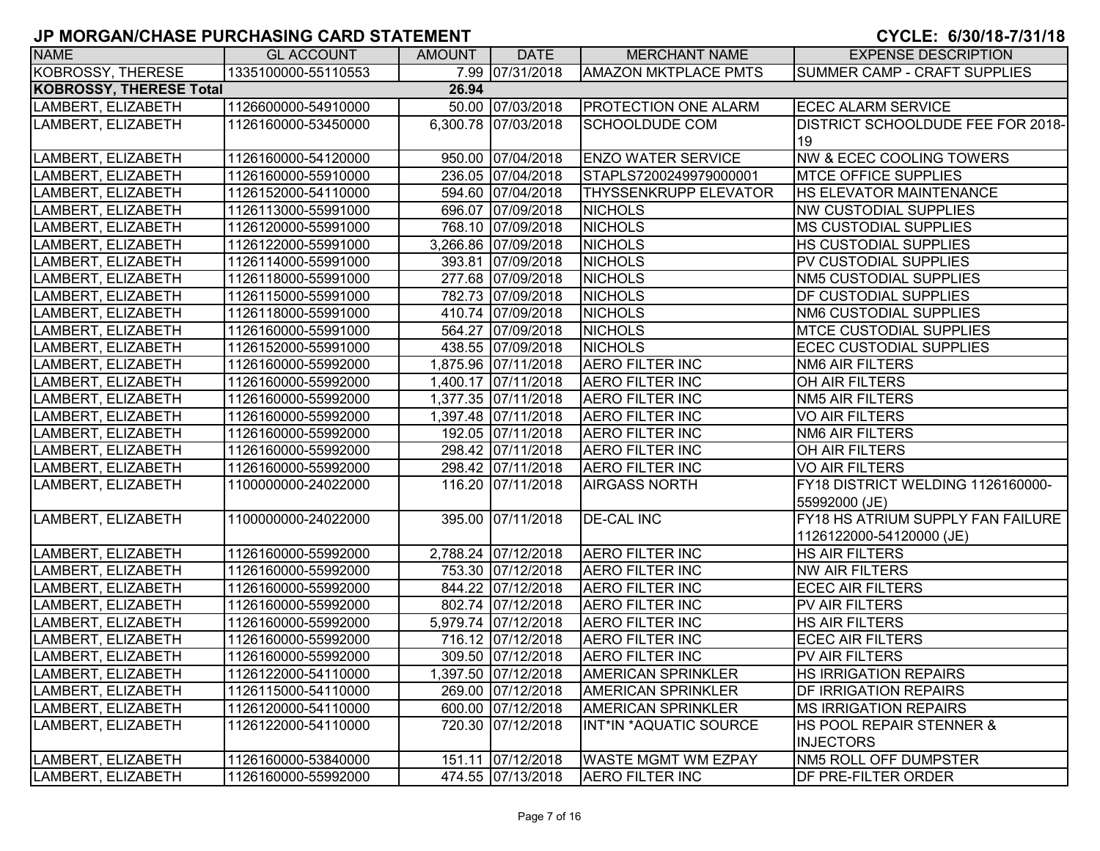| <b>NAME</b>                    | <b>GL ACCOUNT</b>   | <b>AMOUNT</b> | <b>DATE</b>         | <b>MERCHANT NAME</b>        | <b>EXPENSE DESCRIPTION</b>               |
|--------------------------------|---------------------|---------------|---------------------|-----------------------------|------------------------------------------|
| KOBROSSY, THERESE              | 1335100000-55110553 |               | 7.99 07/31/2018     | <b>AMAZON MKTPLACE PMTS</b> | <b>SUMMER CAMP - CRAFT SUPPLIES</b>      |
| <b>KOBROSSY, THERESE Total</b> |                     | 26.94         |                     |                             |                                          |
| LAMBERT, ELIZABETH             | 1126600000-54910000 |               | 50.00 07/03/2018    | PROTECTION ONE ALARM        | <b>ECEC ALARM SERVICE</b>                |
| LAMBERT, ELIZABETH             | 1126160000-53450000 |               | 6,300.78 07/03/2018 | <b>SCHOOLDUDE COM</b>       | <b>DISTRICT SCHOOLDUDE FEE FOR 2018-</b> |
|                                |                     |               |                     |                             | 19                                       |
| LAMBERT, ELIZABETH             | 1126160000-54120000 |               | 950.00 07/04/2018   | <b>ENZO WATER SERVICE</b>   | <b>NW &amp; ECEC COOLING TOWERS</b>      |
| LAMBERT, ELIZABETH             | 1126160000-55910000 |               | 236.05 07/04/2018   | STAPLS7200249979000001      | <b>MTCE OFFICE SUPPLIES</b>              |
| LAMBERT, ELIZABETH             | 1126152000-54110000 |               | 594.60 07/04/2018   | THYSSENKRUPP ELEVATOR       | HS ELEVATOR MAINTENANCE                  |
| LAMBERT, ELIZABETH             | 1126113000-55991000 |               | 696.07 07/09/2018   | <b>NICHOLS</b>              | <b>NW CUSTODIAL SUPPLIES</b>             |
| LAMBERT, ELIZABETH             | 1126120000-55991000 |               | 768.10 07/09/2018   | <b>NICHOLS</b>              | <b>MS CUSTODIAL SUPPLIES</b>             |
| LAMBERT, ELIZABETH             | 1126122000-55991000 |               | 3,266.86 07/09/2018 | <b>NICHOLS</b>              | <b>HS CUSTODIAL SUPPLIES</b>             |
| LAMBERT, ELIZABETH             | 1126114000-55991000 |               | 393.81 07/09/2018   | <b>NICHOLS</b>              | PV CUSTODIAL SUPPLIES                    |
| LAMBERT, ELIZABETH             | 1126118000-55991000 |               | 277.68 07/09/2018   | <b>NICHOLS</b>              | <b>NM5 CUSTODIAL SUPPLIES</b>            |
| LAMBERT, ELIZABETH             | 1126115000-55991000 |               | 782.73 07/09/2018   | <b>NICHOLS</b>              | DF CUSTODIAL SUPPLIES                    |
| LAMBERT, ELIZABETH             | 1126118000-55991000 |               | 410.74 07/09/2018   | <b>NICHOLS</b>              | <b>NM6 CUSTODIAL SUPPLIES</b>            |
| LAMBERT, ELIZABETH             | 1126160000-55991000 |               | 564.27 07/09/2018   | <b>NICHOLS</b>              | <b>MTCE CUSTODIAL SUPPLIES</b>           |
| LAMBERT, ELIZABETH             | 1126152000-55991000 |               | 438.55 07/09/2018   | <b>NICHOLS</b>              | <b>ECEC CUSTODIAL SUPPLIES</b>           |
| LAMBERT, ELIZABETH             | 1126160000-55992000 |               | 1,875.96 07/11/2018 | <b>AERO FILTER INC</b>      | <b>NM6 AIR FILTERS</b>                   |
| LAMBERT, ELIZABETH             | 1126160000-55992000 |               | 1,400.17 07/11/2018 | <b>AERO FILTER INC</b>      | OH AIR FILTERS                           |
| LAMBERT, ELIZABETH             | 1126160000-55992000 |               | 1,377.35 07/11/2018 | <b>AERO FILTER INC</b>      | <b>NM5 AIR FILTERS</b>                   |
| LAMBERT, ELIZABETH             | 1126160000-55992000 |               | 1,397.48 07/11/2018 | <b>AERO FILTER INC</b>      | <b>VO AIR FILTERS</b>                    |
| LAMBERT, ELIZABETH             | 1126160000-55992000 |               | 192.05 07/11/2018   | <b>AERO FILTER INC</b>      | <b>NM6 AIR FILTERS</b>                   |
| LAMBERT, ELIZABETH             | 1126160000-55992000 |               | 298.42 07/11/2018   | <b>AERO FILTER INC</b>      | OH AIR FILTERS                           |
| LAMBERT, ELIZABETH             | 1126160000-55992000 |               | 298.42 07/11/2018   | <b>AERO FILTER INC</b>      | <b>VO AIR FILTERS</b>                    |
| LAMBERT, ELIZABETH             | 1100000000-24022000 |               | 116.20 07/11/2018   | <b>AIRGASS NORTH</b>        | FY18 DISTRICT WELDING 1126160000-        |
|                                |                     |               |                     |                             | 55992000 (JE)                            |
| LAMBERT, ELIZABETH             | 1100000000-24022000 |               | 395.00 07/11/2018   | <b>DE-CAL INC</b>           | FY18 HS ATRIUM SUPPLY FAN FAILURE        |
|                                |                     |               |                     |                             | 1126122000-54120000 (JE)                 |
| LAMBERT, ELIZABETH             | 1126160000-55992000 |               | 2,788.24 07/12/2018 | <b>AERO FILTER INC</b>      | <b>HS AIR FILTERS</b>                    |
| LAMBERT, ELIZABETH             | 1126160000-55992000 |               | 753.30 07/12/2018   | <b>AERO FILTER INC</b>      | <b>NW AIR FILTERS</b>                    |
| LAMBERT, ELIZABETH             | 1126160000-55992000 |               | 844.22 07/12/2018   | <b>AERO FILTER INC</b>      | <b>ECEC AIR FILTERS</b>                  |
| LAMBERT, ELIZABETH             | 1126160000-55992000 |               | 802.74 07/12/2018   | <b>AERO FILTER INC</b>      | PV AIR FILTERS                           |
| LAMBERT, ELIZABETH             | 1126160000-55992000 |               | 5,979.74 07/12/2018 | <b>AERO FILTER INC</b>      | <b>HS AIR FILTERS</b>                    |
| LAMBERT, ELIZABETH             | 1126160000-55992000 |               | 716.12 07/12/2018   | <b>AERO FILTER INC</b>      | <b>ECEC AIR FILTERS</b>                  |
| LAMBERT, ELIZABETH             | 1126160000-55992000 |               | 309.50 07/12/2018   | <b>AERO FILTER INC</b>      | PV AIR FILTERS                           |
| LAMBERT, ELIZABETH             | 1126122000-54110000 |               | 1,397.50 07/12/2018 | <b>AMERICAN SPRINKLER</b>   | <b>HS IRRIGATION REPAIRS</b>             |
| LAMBERT, ELIZABETH             | 1126115000-54110000 |               | 269.00 07/12/2018   | <b>AMERICAN SPRINKLER</b>   | <b>DF IRRIGATION REPAIRS</b>             |
| LAMBERT, ELIZABETH             | 1126120000-54110000 |               | 600.00 07/12/2018   | <b>AMERICAN SPRINKLER</b>   | <b>MS IRRIGATION REPAIRS</b>             |
| LAMBERT, ELIZABETH             | 1126122000-54110000 |               | 720.30 07/12/2018   | INT*IN *AQUATIC SOURCE      | <b>HS POOL REPAIR STENNER &amp;</b>      |
|                                |                     |               |                     |                             | <b>INJECTORS</b>                         |
| LAMBERT, ELIZABETH             | 1126160000-53840000 |               | 151.11 07/12/2018   | <b>WASTE MGMT WM EZPAY</b>  | NM5 ROLL OFF DUMPSTER                    |
| LAMBERT, ELIZABETH             | 1126160000-55992000 |               | 474.55 07/13/2018   | <b>AERO FILTER INC</b>      | DF PRE-FILTER ORDER                      |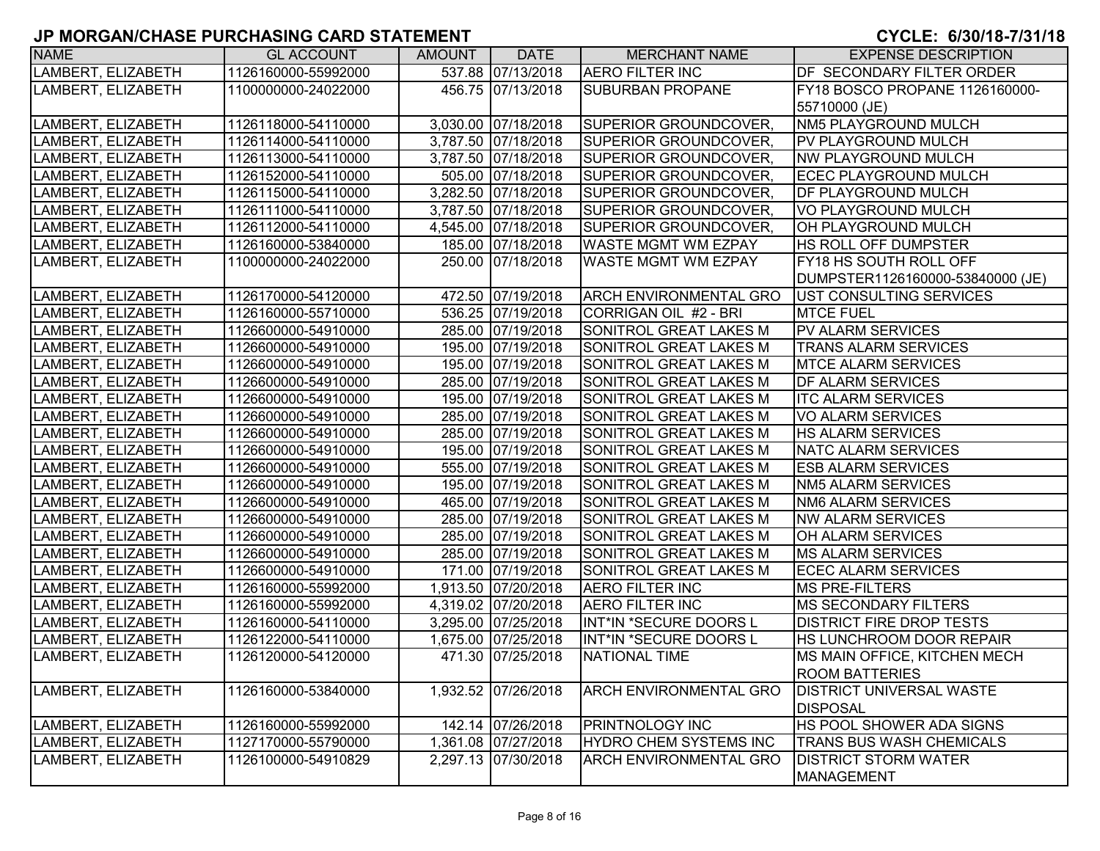| <b>NAME</b>        | <b>GL ACCOUNT</b>   | AMOUNT | <b>DATE</b>         | <b>MERCHANT NAME</b>          | <b>EXPENSE DESCRIPTION</b>       |
|--------------------|---------------------|--------|---------------------|-------------------------------|----------------------------------|
| LAMBERT, ELIZABETH | 1126160000-55992000 |        | 537.88 07/13/2018   | <b>AERO FILTER INC</b>        | DF SECONDARY FILTER ORDER        |
| LAMBERT, ELIZABETH | 1100000000-24022000 |        | 456.75 07/13/2018   | <b>SUBURBAN PROPANE</b>       | FY18 BOSCO PROPANE 1126160000-   |
|                    |                     |        |                     |                               | 55710000 (JE)                    |
| LAMBERT, ELIZABETH | 1126118000-54110000 |        | 3,030.00 07/18/2018 | <b>SUPERIOR GROUNDCOVER,</b>  | NM5 PLAYGROUND MULCH             |
| LAMBERT, ELIZABETH | 1126114000-54110000 |        | 3,787.50 07/18/2018 | <b>SUPERIOR GROUNDCOVER,</b>  | <b>PV PLAYGROUND MULCH</b>       |
| LAMBERT, ELIZABETH | 1126113000-54110000 |        | 3,787.50 07/18/2018 | SUPERIOR GROUNDCOVER,         | <b>NW PLAYGROUND MULCH</b>       |
| LAMBERT, ELIZABETH | 1126152000-54110000 |        | 505.00 07/18/2018   | SUPERIOR GROUNDCOVER,         | <b>ECEC PLAYGROUND MULCH</b>     |
| LAMBERT, ELIZABETH | 1126115000-54110000 |        | 3,282.50 07/18/2018 | SUPERIOR GROUNDCOVER,         | DF PLAYGROUND MULCH              |
| LAMBERT, ELIZABETH | 1126111000-54110000 |        | 3,787.50 07/18/2018 | SUPERIOR GROUNDCOVER,         | VO PLAYGROUND MULCH              |
| LAMBERT, ELIZABETH | 1126112000-54110000 |        | 4,545.00 07/18/2018 | <b>SUPERIOR GROUNDCOVER,</b>  | OH PLAYGROUND MULCH              |
| LAMBERT, ELIZABETH | 1126160000-53840000 |        | 185.00 07/18/2018   | <b>WASTE MGMT WM EZPAY</b>    | <b>HS ROLL OFF DUMPSTER</b>      |
| LAMBERT, ELIZABETH | 1100000000-24022000 |        | 250.00 07/18/2018   | WASTE MGMT WM EZPAY           | FY18 HS SOUTH ROLL OFF           |
|                    |                     |        |                     |                               | DUMPSTER1126160000-53840000 (JE) |
| LAMBERT, ELIZABETH | 1126170000-54120000 |        | 472.50 07/19/2018   | <b>ARCH ENVIRONMENTAL GRO</b> | UST CONSULTING SERVICES          |
| LAMBERT, ELIZABETH | 1126160000-55710000 |        | 536.25 07/19/2018   | CORRIGAN OIL #2 - BRI         | <b>MTCE FUEL</b>                 |
| LAMBERT, ELIZABETH | 1126600000-54910000 |        | 285.00 07/19/2018   | SONITROL GREAT LAKES M        | PV ALARM SERVICES                |
| LAMBERT, ELIZABETH | 1126600000-54910000 |        | 195.00 07/19/2018   | SONITROL GREAT LAKES M        | <b>TRANS ALARM SERVICES</b>      |
| LAMBERT, ELIZABETH | 1126600000-54910000 |        | 195.00 07/19/2018   | SONITROL GREAT LAKES M        | <b>MTCE ALARM SERVICES</b>       |
| LAMBERT, ELIZABETH | 1126600000-54910000 |        | 285.00 07/19/2018   | SONITROL GREAT LAKES M        | <b>DF ALARM SERVICES</b>         |
| LAMBERT, ELIZABETH | 1126600000-54910000 |        | 195.00 07/19/2018   | <b>SONITROL GREAT LAKES M</b> | <b>ITC ALARM SERVICES</b>        |
| LAMBERT, ELIZABETH | 1126600000-54910000 |        | 285.00 07/19/2018   | SONITROL GREAT LAKES M        | VO ALARM SERVICES                |
| LAMBERT, ELIZABETH | 1126600000-54910000 |        | 285.00 07/19/2018   | SONITROL GREAT LAKES M        | <b>HS ALARM SERVICES</b>         |
| LAMBERT, ELIZABETH | 1126600000-54910000 |        | 195.00 07/19/2018   | SONITROL GREAT LAKES M        | <b>NATC ALARM SERVICES</b>       |
| LAMBERT, ELIZABETH | 1126600000-54910000 |        | 555.00 07/19/2018   | SONITROL GREAT LAKES M        | <b>ESB ALARM SERVICES</b>        |
| LAMBERT, ELIZABETH | 1126600000-54910000 |        | 195.00 07/19/2018   | <b>SONITROL GREAT LAKES M</b> | <b>NM5 ALARM SERVICES</b>        |
| LAMBERT, ELIZABETH | 1126600000-54910000 |        | 465.00 07/19/2018   | <b>SONITROL GREAT LAKES M</b> | <b>NM6 ALARM SERVICES</b>        |
| LAMBERT, ELIZABETH | 1126600000-54910000 |        | 285.00 07/19/2018   | SONITROL GREAT LAKES M        | <b>NW ALARM SERVICES</b>         |
| LAMBERT, ELIZABETH | 1126600000-54910000 |        | 285.00 07/19/2018   | SONITROL GREAT LAKES M        | OH ALARM SERVICES                |
| LAMBERT, ELIZABETH | 1126600000-54910000 |        | 285.00 07/19/2018   | SONITROL GREAT LAKES M        | <b>MS ALARM SERVICES</b>         |
| LAMBERT, ELIZABETH | 1126600000-54910000 |        | 171.00 07/19/2018   | SONITROL GREAT LAKES M        | <b>ECEC ALARM SERVICES</b>       |
| LAMBERT, ELIZABETH | 1126160000-55992000 |        | 1,913.50 07/20/2018 | <b>AERO FILTER INC</b>        | MS PRE-FILTERS                   |
| LAMBERT, ELIZABETH | 1126160000-55992000 |        | 4,319.02 07/20/2018 | <b>AERO FILTER INC</b>        | <b>MS SECONDARY FILTERS</b>      |
| LAMBERT, ELIZABETH | 1126160000-54110000 |        | 3,295.00 07/25/2018 | INT*IN *SECURE DOORS L        | <b>DISTRICT FIRE DROP TESTS</b>  |
| LAMBERT, ELIZABETH | 1126122000-54110000 |        | 1,675.00 07/25/2018 | INT*IN *SECURE DOORS L        | HS LUNCHROOM DOOR REPAIR         |
| LAMBERT, ELIZABETH | 1126120000-54120000 |        | 471.30 07/25/2018   | NATIONAL TIME                 | MS MAIN OFFICE, KITCHEN MECH     |
|                    |                     |        |                     |                               | <b>ROOM BATTERIES</b>            |
| LAMBERT, ELIZABETH | 1126160000-53840000 |        | 1,932.52 07/26/2018 | <b>ARCH ENVIRONMENTAL GRO</b> | <b>DISTRICT UNIVERSAL WASTE</b>  |
|                    |                     |        |                     |                               | <b>DISPOSAL</b>                  |
| LAMBERT, ELIZABETH | 1126160000-55992000 |        | 142.14 07/26/2018   | <b>PRINTNOLOGY INC</b>        | HS POOL SHOWER ADA SIGNS         |
| LAMBERT, ELIZABETH | 1127170000-55790000 |        | 1,361.08 07/27/2018 | HYDRO CHEM SYSTEMS INC        | <b>TRANS BUS WASH CHEMICALS</b>  |
| LAMBERT, ELIZABETH | 1126100000-54910829 |        | 2,297.13 07/30/2018 | <b>ARCH ENVIRONMENTAL GRO</b> | <b>DISTRICT STORM WATER</b>      |
|                    |                     |        |                     |                               | MANAGEMENT                       |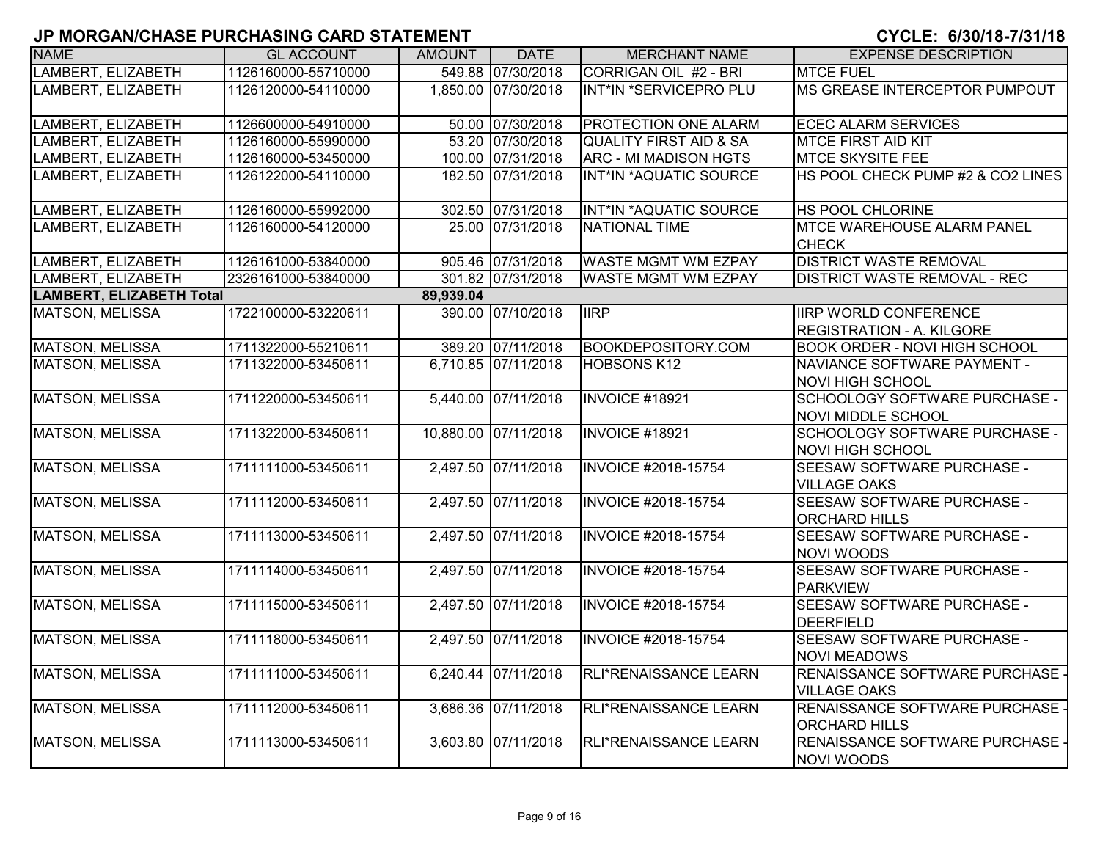|                                 | <u>u mononivumus i ununkumu ukitu uhismsiti </u> |               |                      |                                   |                                                                 |
|---------------------------------|--------------------------------------------------|---------------|----------------------|-----------------------------------|-----------------------------------------------------------------|
| <b>NAME</b>                     | <b>GL ACCOUNT</b>                                | <b>AMOUNT</b> | <b>DATE</b>          | <b>MERCHANT NAME</b>              | <b>EXPENSE DESCRIPTION</b>                                      |
| LAMBERT, ELIZABETH              | 1126160000-55710000                              |               | 549.88 07/30/2018    | CORRIGAN OIL #2 - BRI             | <b>MTCE FUEL</b>                                                |
| LAMBERT, ELIZABETH              | 1126120000-54110000                              |               | 1,850.00 07/30/2018  | INT*IN *SERVICEPRO PLU            | MS GREASE INTERCEPTOR PUMPOUT                                   |
| LAMBERT, ELIZABETH              | 1126600000-54910000                              |               | 50.00 07/30/2018     | PROTECTION ONE ALARM              | <b>ECEC ALARM SERVICES</b>                                      |
| LAMBERT, ELIZABETH              | 1126160000-55990000                              |               | 53.20 07/30/2018     | <b>QUALITY FIRST AID &amp; SA</b> | <b>MTCE FIRST AID KIT</b>                                       |
| LAMBERT, ELIZABETH              | 1126160000-53450000                              |               | 100.00 07/31/2018    | ARC - MI MADISON HGTS             | <b>MTCE SKYSITE FEE</b>                                         |
| LAMBERT, ELIZABETH              | 1126122000-54110000                              |               | 182.50 07/31/2018    | INT*IN *AQUATIC SOURCE            | HS POOL CHECK PUMP #2 & CO2 LINES                               |
| LAMBERT, ELIZABETH              | 1126160000-55992000                              |               | 302.50 07/31/2018    | INT*IN *AQUATIC SOURCE            | <b>HS POOL CHLORINE</b>                                         |
| LAMBERT, ELIZABETH              | 1126160000-54120000                              |               | 25.00 07/31/2018     | NATIONAL TIME                     | MTCE WAREHOUSE ALARM PANEL<br><b>CHECK</b>                      |
| LAMBERT, ELIZABETH              | 1126161000-53840000                              |               | 905.46 07/31/2018    | <b>WASTE MGMT WM EZPAY</b>        | <b>DISTRICT WASTE REMOVAL</b>                                   |
| LAMBERT, ELIZABETH              | 2326161000-53840000                              |               | 301.82 07/31/2018    | <b>WASTE MGMT WM EZPAY</b>        | <b>DISTRICT WASTE REMOVAL - REC</b>                             |
| <b>LAMBERT, ELIZABETH Total</b> |                                                  | 89,939.04     |                      |                                   |                                                                 |
| <b>MATSON, MELISSA</b>          | 1722100000-53220611                              |               | 390.00 07/10/2018    | <b>IIRP</b>                       | <b>IRP WORLD CONFERENCE</b><br><b>REGISTRATION - A. KILGORE</b> |
| <b>MATSON, MELISSA</b>          | 1711322000-55210611                              |               | 389.20 07/11/2018    | <b>BOOKDEPOSITORY.COM</b>         | <b>BOOK ORDER - NOVI HIGH SCHOOL</b>                            |
| <b>MATSON, MELISSA</b>          | 1711322000-53450611                              |               | 6,710.85 07/11/2018  | <b>HOBSONS K12</b>                | NAVIANCE SOFTWARE PAYMENT -<br><b>NOVI HIGH SCHOOL</b>          |
| <b>MATSON, MELISSA</b>          | 1711220000-53450611                              |               | 5,440.00 07/11/2018  | INVOICE #18921                    | SCHOOLOGY SOFTWARE PURCHASE -<br><b>NOVI MIDDLE SCHOOL</b>      |
| <b>MATSON, MELISSA</b>          | 1711322000-53450611                              |               | 10,880.00 07/11/2018 | INVOICE #18921                    | SCHOOLOGY SOFTWARE PURCHASE -<br><b>NOVI HIGH SCHOOL</b>        |
| <b>MATSON, MELISSA</b>          | 1711111000-53450611                              |               | 2,497.50 07/11/2018  | <b>INVOICE #2018-15754</b>        | SEESAW SOFTWARE PURCHASE -<br><b>VILLAGE OAKS</b>               |
| <b>MATSON, MELISSA</b>          | 1711112000-53450611                              |               | 2,497.50 07/11/2018  | <b>INVOICE #2018-15754</b>        | SEESAW SOFTWARE PURCHASE -<br><b>ORCHARD HILLS</b>              |
| <b>MATSON, MELISSA</b>          | 1711113000-53450611                              |               | 2,497.50 07/11/2018  | <b>INVOICE #2018-15754</b>        | SEESAW SOFTWARE PURCHASE -<br><b>NOVI WOODS</b>                 |
| <b>MATSON, MELISSA</b>          | 1711114000-53450611                              |               | 2,497.50 07/11/2018  | <b>INVOICE #2018-15754</b>        | SEESAW SOFTWARE PURCHASE -<br><b>PARKVIEW</b>                   |
| <b>MATSON, MELISSA</b>          | 1711115000-53450611                              |               | 2,497.50 07/11/2018  | <b>INVOICE #2018-15754</b>        | SEESAW SOFTWARE PURCHASE -<br><b>DEERFIELD</b>                  |
| <b>MATSON, MELISSA</b>          | 1711118000-53450611                              |               | 2,497.50 07/11/2018  | <b>INVOICE #2018-15754</b>        | SEESAW SOFTWARE PURCHASE -<br><b>NOVI MEADOWS</b>               |
| <b>MATSON, MELISSA</b>          | 1711111000-53450611                              |               | 6,240.44 07/11/2018  | RLI*RENAISSANCE LEARN             | RENAISSANCE SOFTWARE PURCHASE -<br><b>VILLAGE OAKS</b>          |
| <b>MATSON, MELISSA</b>          | 1711112000-53450611                              |               | 3,686.36 07/11/2018  | RLI*RENAISSANCE LEARN             | RENAISSANCE SOFTWARE PURCHASE -<br><b>ORCHARD HILLS</b>         |
| <b>MATSON, MELISSA</b>          | 1711113000-53450611                              |               | 3,603.80 07/11/2018  | RLI*RENAISSANCE LEARN             | RENAISSANCE SOFTWARE PURCHASE -<br><b>NOVI WOODS</b>            |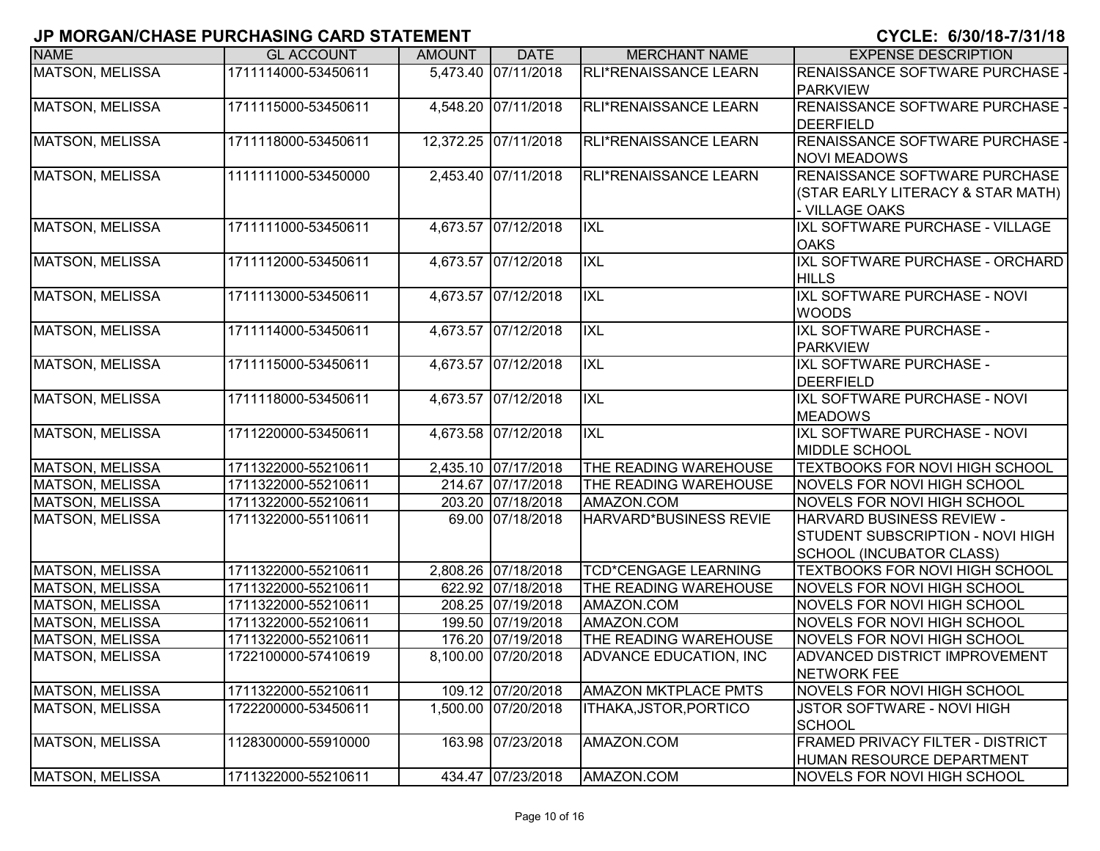|                        | י יירע שיוויט איווטי וויטונט ו בטרעוט וערשיות וט |               |                      |                               | U I U LL I U U UU I I U I I I U                                                                                |
|------------------------|--------------------------------------------------|---------------|----------------------|-------------------------------|----------------------------------------------------------------------------------------------------------------|
| <b>NAME</b>            | <b>GL ACCOUNT</b>                                | <b>AMOUNT</b> | <b>DATE</b>          | <b>MERCHANT NAME</b>          | <b>EXPENSE DESCRIPTION</b>                                                                                     |
| <b>MATSON, MELISSA</b> | 1711114000-53450611                              |               | 5,473.40 07/11/2018  | <b>RLI*RENAISSANCE LEARN</b>  | RENAISSANCE SOFTWARE PURCHASE -<br><b>PARKVIEW</b>                                                             |
| MATSON, MELISSA        | 1711115000-53450611                              |               | 4,548.20 07/11/2018  | RLI*RENAISSANCE LEARN         | <b>RENAISSANCE SOFTWARE PURCHASE -</b><br><b>DEERFIELD</b>                                                     |
| <b>MATSON, MELISSA</b> | 1711118000-53450611                              |               | 12,372.25 07/11/2018 | RLI*RENAISSANCE LEARN         | <b>RENAISSANCE SOFTWARE PURCHASE -</b><br><b>NOVI MEADOWS</b>                                                  |
| <b>MATSON, MELISSA</b> | 1111111000-53450000                              |               | 2,453.40 07/11/2018  | RLI*RENAISSANCE LEARN         | RENAISSANCE SOFTWARE PURCHASE<br>(STAR EARLY LITERACY & STAR MATH)<br>- VILLAGE OAKS                           |
| <b>MATSON, MELISSA</b> | 1711111000-53450611                              |               | 4,673.57 07/12/2018  | <b>IXL</b>                    | IXL SOFTWARE PURCHASE - VILLAGE<br><b>OAKS</b>                                                                 |
| MATSON, MELISSA        | 1711112000-53450611                              |               | 4,673.57 07/12/2018  | <b>IXL</b>                    | IXL SOFTWARE PURCHASE - ORCHARD<br><b>HILLS</b>                                                                |
| MATSON, MELISSA        | 1711113000-53450611                              |               | 4,673.57 07/12/2018  | <b>IXL</b>                    | IXL SOFTWARE PURCHASE - NOVI<br><b>WOODS</b>                                                                   |
| <b>MATSON, MELISSA</b> | 1711114000-53450611                              |               | 4,673.57 07/12/2018  | <b>IXL</b>                    | IXL SOFTWARE PURCHASE -<br><b>PARKVIEW</b>                                                                     |
| <b>MATSON, MELISSA</b> | 1711115000-53450611                              |               | 4,673.57 07/12/2018  | IXL                           | IXL SOFTWARE PURCHASE -<br><b>DEERFIELD</b>                                                                    |
| <b>MATSON, MELISSA</b> | 1711118000-53450611                              |               | 4,673.57 07/12/2018  | IXL                           | <b>IXL SOFTWARE PURCHASE - NOVI</b><br><b>MEADOWS</b>                                                          |
| <b>MATSON, MELISSA</b> | 1711220000-53450611                              |               | 4,673.58 07/12/2018  | IXL                           | IXL SOFTWARE PURCHASE - NOVI<br><b>MIDDLE SCHOOL</b>                                                           |
| <b>MATSON, MELISSA</b> | 1711322000-55210611                              |               | 2,435.10 07/17/2018  | THE READING WAREHOUSE         | <b>TEXTBOOKS FOR NOVI HIGH SCHOOL</b>                                                                          |
| <b>MATSON, MELISSA</b> | 1711322000-55210611                              |               | 214.67 07/17/2018    | THE READING WAREHOUSE         | <b>NOVELS FOR NOVI HIGH SCHOOL</b>                                                                             |
| <b>MATSON, MELISSA</b> | 1711322000-55210611                              |               | 203.20 07/18/2018    | AMAZON.COM                    | <b>NOVELS FOR NOVI HIGH SCHOOL</b>                                                                             |
| <b>MATSON, MELISSA</b> | 1711322000-55110611                              |               | 69.00 07/18/2018     | HARVARD*BUSINESS REVIE        | <b>HARVARD BUSINESS REVIEW -</b><br><b>STUDENT SUBSCRIPTION - NOVI HIGH</b><br><b>SCHOOL (INCUBATOR CLASS)</b> |
| <b>MATSON, MELISSA</b> | 1711322000-55210611                              |               | 2,808.26 07/18/2018  | <b>TCD*CENGAGE LEARNING</b>   | <b>TEXTBOOKS FOR NOVI HIGH SCHOOL</b>                                                                          |
| MATSON, MELISSA        | 1711322000-55210611                              |               | 622.92 07/18/2018    | THE READING WAREHOUSE         | NOVELS FOR NOVI HIGH SCHOOL                                                                                    |
| <b>MATSON, MELISSA</b> | 1711322000-55210611                              |               | 208.25 07/19/2018    | AMAZON.COM                    | <b>NOVELS FOR NOVI HIGH SCHOOL</b>                                                                             |
| MATSON, MELISSA        | 1711322000-55210611                              |               | 199.50 07/19/2018    | AMAZON.COM                    | <b>NOVELS FOR NOVI HIGH SCHOOL</b>                                                                             |
| <b>MATSON, MELISSA</b> | 1711322000-55210611                              |               | 176.20 07/19/2018    | THE READING WAREHOUSE         | NOVELS FOR NOVI HIGH SCHOOL                                                                                    |
| MATSON, MELISSA        | 1722100000-57410619                              |               | 8,100.00 07/20/2018  | <b>ADVANCE EDUCATION, INC</b> | <b>ADVANCED DISTRICT IMPROVEMENT</b><br><b>NETWORK FEE</b>                                                     |
| MATSON, MELISSA        | 1711322000-55210611                              |               | 109.12 07/20/2018    | <b>AMAZON MKTPLACE PMTS</b>   | NOVELS FOR NOVI HIGH SCHOOL                                                                                    |
| <b>MATSON, MELISSA</b> | 1722200000-53450611                              |               | 1,500.00 07/20/2018  | ITHAKA, JSTOR, PORTICO        | JSTOR SOFTWARE - NOVI HIGH<br><b>SCHOOL</b>                                                                    |
| <b>MATSON, MELISSA</b> | 1128300000-55910000                              |               | 163.98 07/23/2018    | AMAZON.COM                    | <b>FRAMED PRIVACY FILTER - DISTRICT</b><br>HUMAN RESOURCE DEPARTMENT                                           |
| MATSON, MELISSA        | 1711322000-55210611                              |               | 434.47 07/23/2018    | AMAZON.COM                    | <b>NOVELS FOR NOVI HIGH SCHOOL</b>                                                                             |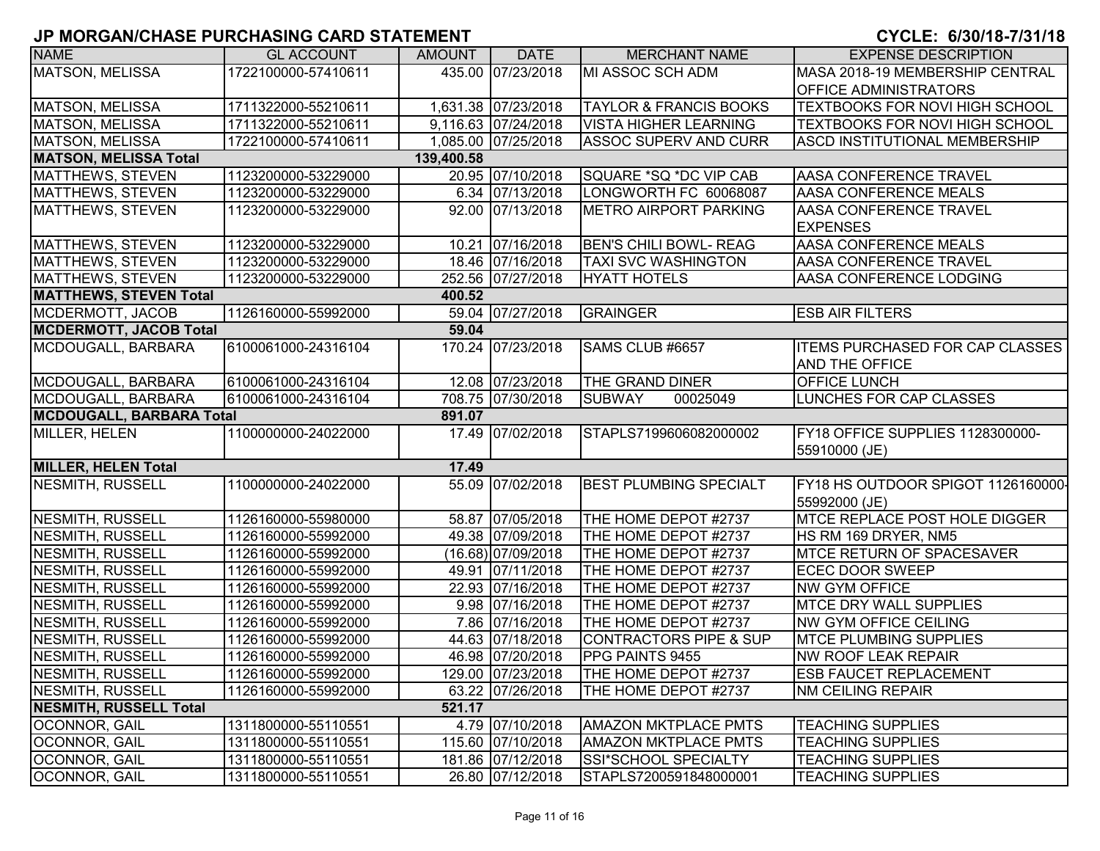| <b>NAME</b>                     | <b>GL ACCOUNT</b>   | <b>AMOUNT</b> | <b>DATE</b>         | <b>MERCHANT NAME</b>              | <b>EXPENSE DESCRIPTION</b>                          |
|---------------------------------|---------------------|---------------|---------------------|-----------------------------------|-----------------------------------------------------|
| <b>MATSON, MELISSA</b>          | 1722100000-57410611 |               | 435.00 07/23/2018   | MI ASSOC SCH ADM                  | MASA 2018-19 MEMBERSHIP CENTRAL                     |
|                                 |                     |               |                     |                                   | <b>OFFICE ADMINISTRATORS</b>                        |
| MATSON, MELISSA                 | 1711322000-55210611 |               | 1,631.38 07/23/2018 | <b>TAYLOR &amp; FRANCIS BOOKS</b> | TEXTBOOKS FOR NOVI HIGH SCHOOL                      |
| <b>MATSON, MELISSA</b>          | 1711322000-55210611 |               | 9,116.63 07/24/2018 | <b>VISTA HIGHER LEARNING</b>      | <b>TEXTBOOKS FOR NOVI HIGH SCHOOL</b>               |
| MATSON, MELISSA                 | 1722100000-57410611 |               | 1,085.00 07/25/2018 | <b>ASSOC SUPERV AND CURR</b>      | <b>ASCD INSTITUTIONAL MEMBERSHIP</b>                |
| <b>MATSON, MELISSA Total</b>    |                     | 139,400.58    |                     |                                   |                                                     |
| <b>MATTHEWS, STEVEN</b>         | 1123200000-53229000 |               | 20.95 07/10/2018    | SQUARE *SQ *DC VIP CAB            | <b>AASA CONFERENCE TRAVEL</b>                       |
| MATTHEWS, STEVEN                | 1123200000-53229000 |               | 6.34 07/13/2018     | LONGWORTH FC 60068087             | AASA CONFERENCE MEALS                               |
| MATTHEWS, STEVEN                | 1123200000-53229000 |               | 92.00 07/13/2018    | <b>METRO AIRPORT PARKING</b>      | AASA CONFERENCE TRAVEL<br><b>EXPENSES</b>           |
| MATTHEWS, STEVEN                | 1123200000-53229000 |               | 10.21 07/16/2018    | <b>BEN'S CHILI BOWL- REAG</b>     | AASA CONFERENCE MEALS                               |
| MATTHEWS, STEVEN                | 1123200000-53229000 |               | 18.46 07/16/2018    | <b>TAXI SVC WASHINGTON</b>        | <b>AASA CONFERENCE TRAVEL</b>                       |
| MATTHEWS, STEVEN                | 1123200000-53229000 |               | 252.56 07/27/2018   | <b>HYATT HOTELS</b>               | AASA CONFERENCE LODGING                             |
| <b>MATTHEWS, STEVEN Total</b>   |                     | 400.52        |                     |                                   |                                                     |
| MCDERMOTT, JACOB                | 1126160000-55992000 |               | 59.04 07/27/2018    | GRAINGER                          | <b>ESB AIR FILTERS</b>                              |
| <b>MCDERMOTT, JACOB Total</b>   |                     | 59.04         |                     |                                   |                                                     |
| MCDOUGALL, BARBARA              | 6100061000-24316104 |               | 170.24 07/23/2018   | SAMS CLUB #6657                   | <b>ITEMS PURCHASED FOR CAP CLASSES</b>              |
|                                 |                     |               |                     |                                   | <b>AND THE OFFICE</b>                               |
| MCDOUGALL, BARBARA              | 6100061000-24316104 |               | 12.08 07/23/2018    | THE GRAND DINER                   | <b>OFFICE LUNCH</b>                                 |
| MCDOUGALL, BARBARA              | 6100061000-24316104 |               | 708.75 07/30/2018   | <b>SUBWAY</b><br>00025049         | <b>LUNCHES FOR CAP CLASSES</b>                      |
| <b>MCDOUGALL, BARBARA Total</b> |                     | 891.07        |                     |                                   |                                                     |
| MILLER, HELEN                   | 1100000000-24022000 |               | 17.49 07/02/2018    | STAPLS7199606082000002            | FY18 OFFICE SUPPLIES 1128300000-<br>55910000 (JE)   |
| <b>MILLER, HELEN Total</b>      |                     | 17.49         |                     |                                   |                                                     |
| <b>NESMITH, RUSSELL</b>         | 1100000000-24022000 |               | 55.09 07/02/2018    | <b>BEST PLUMBING SPECIALT</b>     | FY18 HS OUTDOOR SPIGOT 1126160000-<br>55992000 (JE) |
| <b>NESMITH, RUSSELL</b>         | 1126160000-55980000 |               | 58.87 07/05/2018    | THE HOME DEPOT #2737              | <b>MTCE REPLACE POST HOLE DIGGER</b>                |
| <b>NESMITH, RUSSELL</b>         | 1126160000-55992000 |               | 49.38 07/09/2018    | THE HOME DEPOT #2737              | HS RM 169 DRYER, NM5                                |
| <b>NESMITH, RUSSELL</b>         | 1126160000-55992000 |               | (16.68) 07/09/2018  | THE HOME DEPOT #2737              | <b>IMTCE RETURN OF SPACESAVER</b>                   |
| <b>NESMITH, RUSSELL</b>         | 1126160000-55992000 |               | 49.91 07/11/2018    | THE HOME DEPOT #2737              | <b>ECEC DOOR SWEEP</b>                              |
| <b>NESMITH, RUSSELL</b>         | 1126160000-55992000 |               | 22.93 07/16/2018    | THE HOME DEPOT #2737              | <b>NW GYM OFFICE</b>                                |
| <b>NESMITH, RUSSELL</b>         | 1126160000-55992000 |               | 9.98 07/16/2018     | THE HOME DEPOT #2737              | <b>MTCE DRY WALL SUPPLIES</b>                       |
| NESMITH, RUSSELL                | 1126160000-55992000 |               | 7.86 07/16/2018     | THE HOME DEPOT #2737              | NW GYM OFFICE CEILING                               |
| NESMITH, RUSSELL                | 1126160000-55992000 |               | 44.63 07/18/2018    | <b>CONTRACTORS PIPE &amp; SUP</b> | <b>MTCE PLUMBING SUPPLIES</b>                       |
| NESMITH, RUSSELL                | 1126160000-55992000 |               | 46.98 07/20/2018    | PPG PAINTS 9455                   | <b>NW ROOF LEAK REPAIR</b>                          |
| NESMITH, RUSSELL                | 1126160000-55992000 |               | 129.00 07/23/2018   | THE HOME DEPOT #2737              | <b>ESB FAUCET REPLACEMENT</b>                       |
| NESMITH, RUSSELL                | 1126160000-55992000 |               | 63.22 07/26/2018    | THE HOME DEPOT #2737              | <b>NM CEILING REPAIR</b>                            |
| <b>NESMITH, RUSSELL Total</b>   |                     | 521.17        |                     |                                   |                                                     |
| <b>OCONNOR, GAIL</b>            | 1311800000-55110551 |               | 4.79 07/10/2018     | <b>AMAZON MKTPLACE PMTS</b>       | <b>TEACHING SUPPLIES</b>                            |
| OCONNOR, GAIL                   | 1311800000-55110551 |               | 115.60 07/10/2018   | <b>AMAZON MKTPLACE PMTS</b>       | <b>TEACHING SUPPLIES</b>                            |
| OCONNOR, GAIL                   | 1311800000-55110551 |               | 181.86 07/12/2018   | SSI*SCHOOL SPECIALTY              | <b>TEACHING SUPPLIES</b>                            |
| OCONNOR, GAIL                   | 1311800000-55110551 |               | 26.80 07/12/2018    | STAPLS7200591848000001            | <b>TEACHING SUPPLIES</b>                            |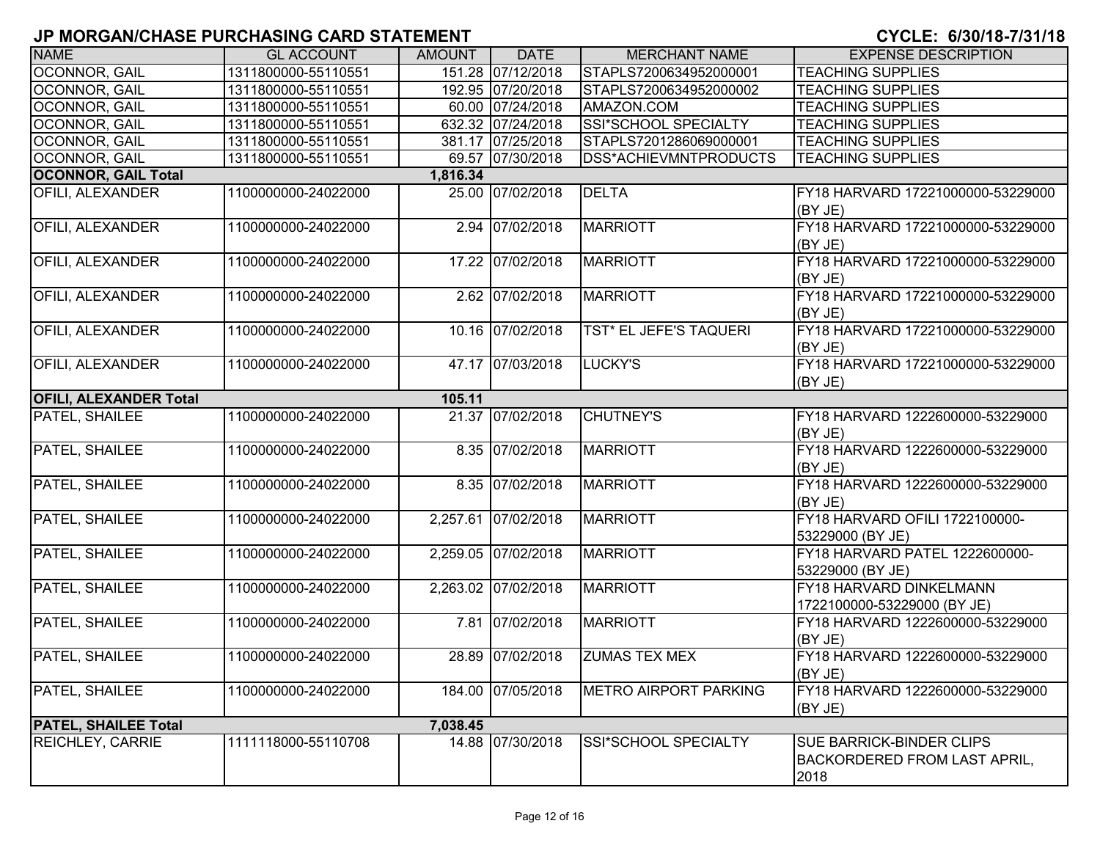| <b>NAME</b>                   | <b>GL ACCOUNT</b>   | <b>AMOUNT</b> | <b>DATE</b>         | <b>MERCHANT NAME</b>         | <b>EXPENSE DESCRIPTION</b>                                              |
|-------------------------------|---------------------|---------------|---------------------|------------------------------|-------------------------------------------------------------------------|
| <b>OCONNOR, GAIL</b>          | 1311800000-55110551 |               | 151.28 07/12/2018   | STAPLS7200634952000001       | <b>TEACHING SUPPLIES</b>                                                |
| OCONNOR, GAIL                 | 1311800000-55110551 |               | 192.95 07/20/2018   | STAPLS7200634952000002       | <b>TEACHING SUPPLIES</b>                                                |
| OCONNOR, GAIL                 | 1311800000-55110551 |               | 60.00 07/24/2018    | AMAZON.COM                   | <b>TEACHING SUPPLIES</b>                                                |
| OCONNOR, GAIL                 | 1311800000-55110551 |               | 632.32 07/24/2018   | <b>SSI*SCHOOL SPECIALTY</b>  | <b>TEACHING SUPPLIES</b>                                                |
| OCONNOR, GAIL                 | 1311800000-55110551 |               | 381.17 07/25/2018   | STAPLS7201286069000001       | <b>TEACHING SUPPLIES</b>                                                |
| OCONNOR, GAIL                 | 1311800000-55110551 |               | 69.57 07/30/2018    | DSS*ACHIEVMNTPRODUCTS        | <b>TEACHING SUPPLIES</b>                                                |
| <b>OCONNOR, GAIL Total</b>    |                     | 1,816.34      |                     |                              |                                                                         |
| <b>OFILI, ALEXANDER</b>       | 1100000000-24022000 |               | 25.00 07/02/2018    | <b>DELTA</b>                 | FY18 HARVARD 17221000000-53229000<br>(BY JE)                            |
| <b>OFILI, ALEXANDER</b>       | 1100000000-24022000 |               | 2.94 07/02/2018     | <b>MARRIOTT</b>              | FY18 HARVARD 17221000000-53229000<br>(BYJE)                             |
| <b>OFILI, ALEXANDER</b>       | 1100000000-24022000 |               | 17.22 07/02/2018    | <b>MARRIOTT</b>              | FY18 HARVARD 17221000000-53229000<br>(BYJE)                             |
| <b>OFILI, ALEXANDER</b>       | 1100000000-24022000 |               | 2.62 07/02/2018     | <b>MARRIOTT</b>              | FY18 HARVARD 17221000000-53229000<br>(BY JE)                            |
| OFILI, ALEXANDER              | 1100000000-24022000 |               | 10.16 07/02/2018    | TST* EL JEFE'S TAQUERI       | FY18 HARVARD 17221000000-53229000<br>(BY JE)                            |
| <b>OFILI, ALEXANDER</b>       | 1100000000-24022000 |               | 47.17 07/03/2018    | LUCKY'S                      | FY18 HARVARD 17221000000-53229000<br>(BY JE)                            |
| <b>OFILI, ALEXANDER Total</b> |                     | 105.11        |                     |                              |                                                                         |
| PATEL, SHAILEE                | 1100000000-24022000 |               | 21.37 07/02/2018    | <b>CHUTNEY'S</b>             | FY18 HARVARD 1222600000-53229000<br>(BY JE)                             |
| PATEL, SHAILEE                | 1100000000-24022000 |               | 8.35 07/02/2018     | <b>MARRIOTT</b>              | FY18 HARVARD 1222600000-53229000<br>(BY JE)                             |
| PATEL, SHAILEE                | 1100000000-24022000 |               | 8.35 07/02/2018     | <b>MARRIOTT</b>              | FY18 HARVARD 1222600000-53229000<br>(BYJE)                              |
| PATEL, SHAILEE                | 1100000000-24022000 |               | 2,257.61 07/02/2018 | <b>MARRIOTT</b>              | FY18 HARVARD OFILI 1722100000-<br>53229000 (BY JE)                      |
| PATEL, SHAILEE                | 1100000000-24022000 |               | 2,259.05 07/02/2018 | <b>MARRIOTT</b>              | FY18 HARVARD PATEL 1222600000-<br>53229000 (BY JE)                      |
| PATEL, SHAILEE                | 1100000000-24022000 |               | 2,263.02 07/02/2018 | <b>MARRIOTT</b>              | FY18 HARVARD DINKELMANN<br>1722100000-53229000 (BY JE)                  |
| PATEL, SHAILEE                | 1100000000-24022000 |               | 7.81 07/02/2018     | MARRIOTT                     | FY18 HARVARD 1222600000-53229000<br>(BY JE)                             |
| PATEL, SHAILEE                | 1100000000-24022000 |               | 28.89 07/02/2018    | <b>ZUMAS TEX MEX</b>         | FY18 HARVARD 1222600000-53229000<br>(BY JE)                             |
| PATEL, SHAILEE                | 1100000000-24022000 |               | 184.00 07/05/2018   | <b>METRO AIRPORT PARKING</b> | FY18 HARVARD 1222600000-53229000<br>(BY JE)                             |
| <b>PATEL, SHAILEE Total</b>   |                     | 7,038.45      |                     |                              |                                                                         |
| REICHLEY, CARRIE              | 1111118000-55110708 |               | 14.88 07/30/2018    | SSI*SCHOOL SPECIALTY         | SUE BARRICK-BINDER CLIPS<br><b>BACKORDERED FROM LAST APRIL,</b><br>2018 |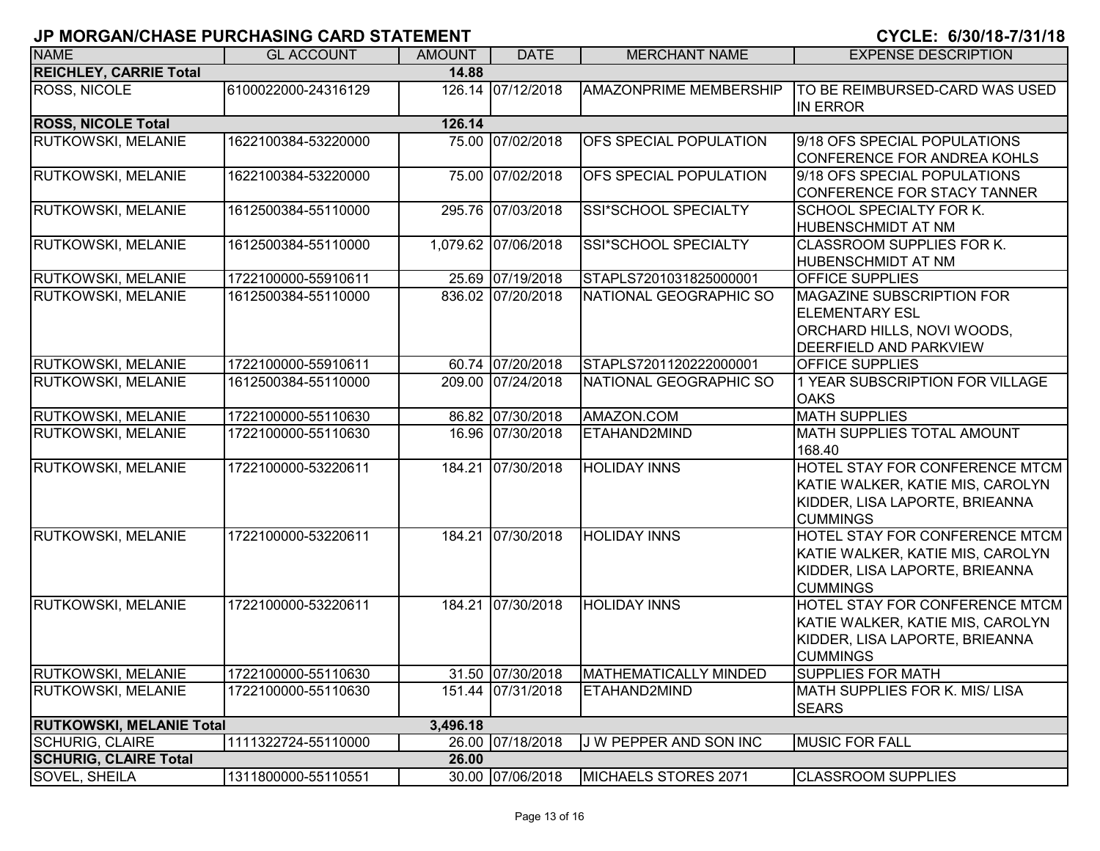|                                 | וואוס שוואס טוושמוס ו שמחוס וואס ומשמעות וט |               |                     |                               | V I VLL. V/VV/ IV <i>I I</i> V I/ IV                                                                                    |
|---------------------------------|---------------------------------------------|---------------|---------------------|-------------------------------|-------------------------------------------------------------------------------------------------------------------------|
| <b>NAME</b>                     | <b>GL ACCOUNT</b>                           | <b>AMOUNT</b> | <b>DATE</b>         | <b>MERCHANT NAME</b>          | <b>EXPENSE DESCRIPTION</b>                                                                                              |
| <b>REICHLEY, CARRIE Total</b>   |                                             | 14.88         |                     |                               |                                                                                                                         |
| <b>ROSS, NICOLE</b>             | 6100022000-24316129                         |               | 126.14 07/12/2018   | <b>AMAZONPRIME MEMBERSHIP</b> | TO BE REIMBURSED-CARD WAS USED<br><b>IN ERROR</b>                                                                       |
| <b>ROSS, NICOLE Total</b>       |                                             | 126.14        |                     |                               |                                                                                                                         |
| RUTKOWSKI, MELANIE              | 1622100384-53220000                         |               | 75.00 07/02/2018    | OFS SPECIAL POPULATION        | 9/18 OFS SPECIAL POPULATIONS<br>CONFERENCE FOR ANDREA KOHLS                                                             |
| RUTKOWSKI, MELANIE              | 1622100384-53220000                         |               | 75.00 07/02/2018    | OFS SPECIAL POPULATION        | 9/18 OFS SPECIAL POPULATIONS<br>CONFERENCE FOR STACY TANNER                                                             |
| <b>RUTKOWSKI, MELANIE</b>       | 1612500384-55110000                         |               | 295.76 07/03/2018   | SSI*SCHOOL SPECIALTY          | SCHOOL SPECIALTY FOR K.<br><b>HUBENSCHMIDT AT NM</b>                                                                    |
| <b>RUTKOWSKI, MELANIE</b>       | 1612500384-55110000                         |               | 1,079.62 07/06/2018 | SSI*SCHOOL SPECIALTY          | <b>CLASSROOM SUPPLIES FOR K.</b><br><b>HUBENSCHMIDT AT NM</b>                                                           |
| <b>RUTKOWSKI, MELANIE</b>       | 1722100000-55910611                         |               | 25.69 07/19/2018    | STAPLS7201031825000001        | OFFICE SUPPLIES                                                                                                         |
| <b>RUTKOWSKI, MELANIE</b>       | 1612500384-55110000                         |               | 836.02 07/20/2018   | NATIONAL GEOGRAPHIC SO        | MAGAZINE SUBSCRIPTION FOR<br><b>ELEMENTARY ESL</b><br>ORCHARD HILLS, NOVI WOODS,<br>DEERFIELD AND PARKVIEW              |
| RUTKOWSKI, MELANIE              | 1722100000-55910611                         |               | 60.74 07/20/2018    | STAPLS7201120222000001        | <b>OFFICE SUPPLIES</b>                                                                                                  |
| <b>RUTKOWSKI, MELANIE</b>       | 1612500384-55110000                         |               | 209.00 07/24/2018   | NATIONAL GEOGRAPHIC SO        | 1 YEAR SUBSCRIPTION FOR VILLAGE<br><b>OAKS</b>                                                                          |
| <b>RUTKOWSKI, MELANIE</b>       | 1722100000-55110630                         |               | 86.82 07/30/2018    | AMAZON.COM                    | <b>MATH SUPPLIES</b>                                                                                                    |
| <b>RUTKOWSKI, MELANIE</b>       | 1722100000-55110630                         |               | 16.96 07/30/2018    | ETAHAND2MIND                  | <b>MATH SUPPLIES TOTAL AMOUNT</b><br>168.40                                                                             |
| <b>RUTKOWSKI, MELANIE</b>       | 1722100000-53220611                         |               | 184.21 07/30/2018   | <b>HOLIDAY INNS</b>           | HOTEL STAY FOR CONFERENCE MTCM<br>KATIE WALKER, KATIE MIS, CAROLYN<br>KIDDER, LISA LAPORTE, BRIEANNA<br><b>CUMMINGS</b> |
| RUTKOWSKI, MELANIE              | 1722100000-53220611                         |               | 184.21 07/30/2018   | <b>HOLIDAY INNS</b>           | HOTEL STAY FOR CONFERENCE MTCM<br>KATIE WALKER, KATIE MIS, CAROLYN<br>KIDDER, LISA LAPORTE, BRIEANNA<br><b>CUMMINGS</b> |
| <b>RUTKOWSKI, MELANIE</b>       | 1722100000-53220611                         |               | 184.21 07/30/2018   | <b>HOLIDAY INNS</b>           | HOTEL STAY FOR CONFERENCE MTCM<br>KATIE WALKER, KATIE MIS, CAROLYN<br>KIDDER, LISA LAPORTE, BRIEANNA<br><b>CUMMINGS</b> |
| <b>RUTKOWSKI, MELANIE</b>       | 1722100000-55110630                         |               | 31.50 07/30/2018    | <b>MATHEMATICALLY MINDED</b>  | <b>SUPPLIES FOR MATH</b>                                                                                                |
| <b>RUTKOWSKI, MELANIE</b>       | 1722100000-55110630                         |               | 151.44 07/31/2018   | ETAHAND2MIND                  | MATH SUPPLIES FOR K. MIS/LISA<br><b>SEARS</b>                                                                           |
| <b>RUTKOWSKI, MELANIE Total</b> |                                             | 3,496.18      |                     |                               |                                                                                                                         |
| <b>SCHURIG, CLAIRE</b>          | 1111322724-55110000                         |               | 26.00 07/18/2018    | J W PEPPER AND SON INC        | <b>MUSIC FOR FALL</b>                                                                                                   |
| <b>SCHURIG, CLAIRE Total</b>    |                                             | 26.00         |                     |                               |                                                                                                                         |
| <b>SOVEL, SHEILA</b>            | 1311800000-55110551                         |               | 30.00 07/06/2018    | MICHAELS STORES 2071          | <b>CLASSROOM SUPPLIES</b>                                                                                               |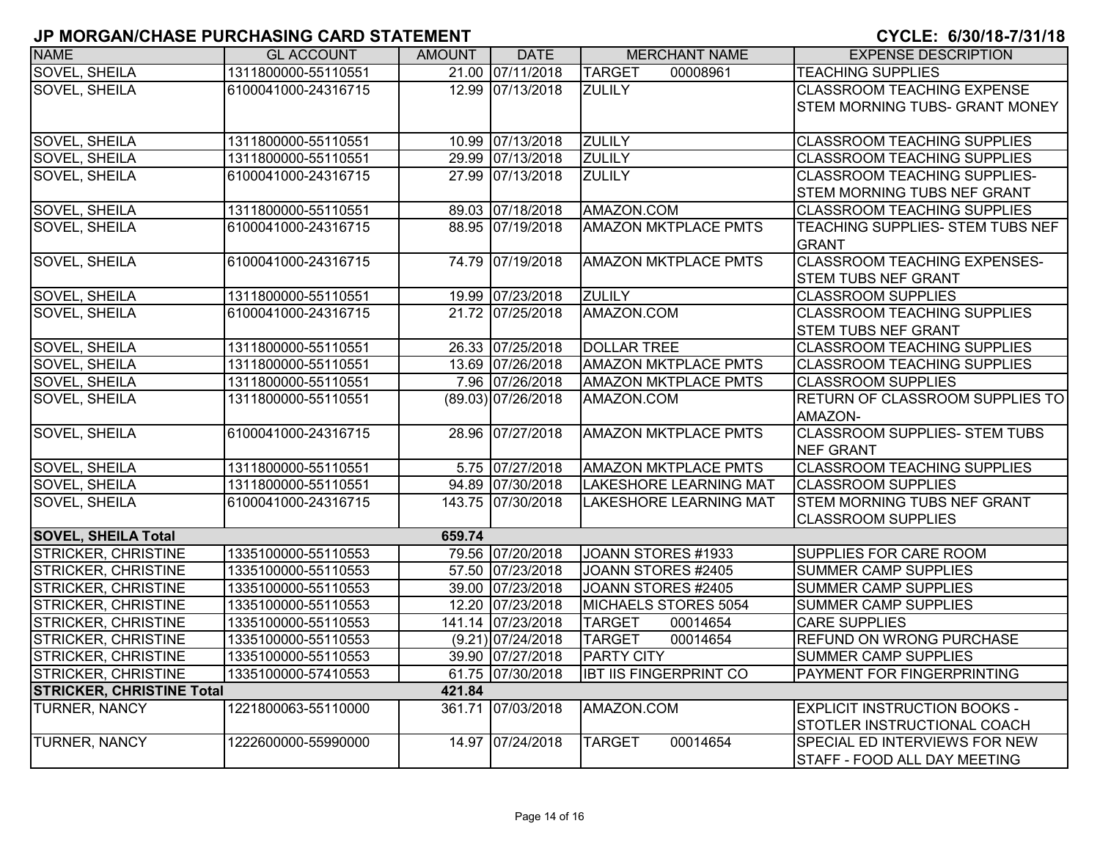| וובומומולוט שווי של אווטו ווסויט ו מטי זו טיוש ווי ושי<br><b>NAME</b> | <b>GL ACCOUNT</b>   | <b>AMOUNT</b> | <b>DATE</b>        | <b>MERCHANT NAME</b>          | <b>EXPENSE DESCRIPTION</b>            |
|-----------------------------------------------------------------------|---------------------|---------------|--------------------|-------------------------------|---------------------------------------|
| SOVEL, SHEILA                                                         |                     |               | 21.00 07/11/2018   | <b>TARGET</b>                 |                                       |
|                                                                       | 1311800000-55110551 |               |                    | 00008961                      | <b>TEACHING SUPPLIES</b>              |
| <b>SOVEL, SHEILA</b>                                                  | 6100041000-24316715 |               | 12.99 07/13/2018   | <b>ZULILY</b>                 | <b>CLASSROOM TEACHING EXPENSE</b>     |
|                                                                       |                     |               |                    |                               | <b>STEM MORNING TUBS- GRANT MONEY</b> |
| <b>SOVEL, SHEILA</b>                                                  | 1311800000-55110551 |               | 10.99 07/13/2018   | <b>ZULILY</b>                 | <b>CLASSROOM TEACHING SUPPLIES</b>    |
| <b>SOVEL, SHEILA</b>                                                  | 1311800000-55110551 |               | 29.99 07/13/2018   | <b>ZULILY</b>                 | <b>CLASSROOM TEACHING SUPPLIES</b>    |
| <b>SOVEL, SHEILA</b>                                                  | 6100041000-24316715 |               | 27.99 07/13/2018   | <b>ZULILY</b>                 | <b>CLASSROOM TEACHING SUPPLIES-</b>   |
|                                                                       |                     |               |                    |                               | STEM MORNING TUBS NEF GRANT           |
| SOVEL, SHEILA                                                         | 1311800000-55110551 |               | 89.03 07/18/2018   | AMAZON.COM                    | <b>CLASSROOM TEACHING SUPPLIES</b>    |
| SOVEL, SHEILA                                                         | 6100041000-24316715 |               | 88.95 07/19/2018   | <b>AMAZON MKTPLACE PMTS</b>   | TEACHING SUPPLIES- STEM TUBS NEF      |
|                                                                       |                     |               |                    |                               | <b>GRANT</b>                          |
| <b>SOVEL, SHEILA</b>                                                  | 6100041000-24316715 |               | 74.79 07/19/2018   | <b>AMAZON MKTPLACE PMTS</b>   | <b>CLASSROOM TEACHING EXPENSES-</b>   |
|                                                                       |                     |               |                    |                               | <b>STEM TUBS NEF GRANT</b>            |
| SOVEL, SHEILA                                                         | 1311800000-55110551 |               | 19.99 07/23/2018   | <b>ZULILY</b>                 | <b>CLASSROOM SUPPLIES</b>             |
| SOVEL, SHEILA                                                         | 6100041000-24316715 |               | 21.72 07/25/2018   | AMAZON.COM                    | <b>CLASSROOM TEACHING SUPPLIES</b>    |
|                                                                       |                     |               |                    |                               | <b>STEM TUBS NEF GRANT</b>            |
| SOVEL, SHEILA                                                         | 1311800000-55110551 |               | 26.33 07/25/2018   | <b>DOLLAR TREE</b>            | <b>CLASSROOM TEACHING SUPPLIES</b>    |
| <b>SOVEL, SHEILA</b>                                                  | 1311800000-55110551 |               | 13.69 07/26/2018   | <b>AMAZON MKTPLACE PMTS</b>   | <b>CLASSROOM TEACHING SUPPLIES</b>    |
| <b>SOVEL, SHEILA</b>                                                  | 1311800000-55110551 |               | 7.96 07/26/2018    | <b>AMAZON MKTPLACE PMTS</b>   | <b>CLASSROOM SUPPLIES</b>             |
| <b>SOVEL, SHEILA</b>                                                  | 1311800000-55110551 |               | (89.03) 07/26/2018 | AMAZON.COM                    | RETURN OF CLASSROOM SUPPLIES TO       |
|                                                                       |                     |               |                    |                               | AMAZON-                               |
| <b>SOVEL, SHEILA</b>                                                  | 6100041000-24316715 |               | 28.96 07/27/2018   | <b>AMAZON MKTPLACE PMTS</b>   | <b>CLASSROOM SUPPLIES- STEM TUBS</b>  |
|                                                                       |                     |               |                    |                               | <b>NEF GRANT</b>                      |
| SOVEL, SHEILA                                                         | 1311800000-55110551 |               | 5.75 07/27/2018    | <b>AMAZON MKTPLACE PMTS</b>   | <b>CLASSROOM TEACHING SUPPLIES</b>    |
| <b>SOVEL, SHEILA</b>                                                  | 1311800000-55110551 |               | 94.89 07/30/2018   | <b>LAKESHORE LEARNING MAT</b> | <b>CLASSROOM SUPPLIES</b>             |
| <b>SOVEL, SHEILA</b>                                                  | 6100041000-24316715 |               | 143.75 07/30/2018  | <b>LAKESHORE LEARNING MAT</b> | <b>STEM MORNING TUBS NEF GRANT</b>    |
|                                                                       |                     |               |                    |                               | <b>CLASSROOM SUPPLIES</b>             |
| <b>SOVEL, SHEILA Total</b>                                            |                     | 659.74        |                    |                               |                                       |
| <b>STRICKER, CHRISTINE</b>                                            | 1335100000-55110553 |               | 79.56 07/20/2018   | JOANN STORES #1933            | SUPPLIES FOR CARE ROOM                |
| <b>STRICKER, CHRISTINE</b>                                            | 1335100000-55110553 |               | 57.50 07/23/2018   | JOANN STORES #2405            | <b>SUMMER CAMP SUPPLIES</b>           |
| <b>STRICKER, CHRISTINE</b>                                            | 1335100000-55110553 |               | 39.00 07/23/2018   | JOANN STORES #2405            | <b>SUMMER CAMP SUPPLIES</b>           |
| STRICKER, CHRISTINE                                                   | 1335100000-55110553 |               | 12.20 07/23/2018   | MICHAELS STORES 5054          | <b>SUMMER CAMP SUPPLIES</b>           |
| STRICKER, CHRISTINE                                                   | 1335100000-55110553 |               | 141.14 07/23/2018  | <b>TARGET</b><br>00014654     | <b>CARE SUPPLIES</b>                  |
| <b>STRICKER, CHRISTINE</b>                                            | 1335100000-55110553 |               | (9.21) 07/24/2018  | <b>TARGET</b><br>00014654     | <b>REFUND ON WRONG PURCHASE</b>       |
| <b>STRICKER, CHRISTINE</b>                                            | 1335100000-55110553 |               | 39.90 07/27/2018   | <b>PARTY CITY</b>             | <b>SUMMER CAMP SUPPLIES</b>           |
| STRICKER, CHRISTINE                                                   | 1335100000-57410553 |               | 61.75 07/30/2018   | <b>IBT IIS FINGERPRINT CO</b> | PAYMENT FOR FINGERPRINTING            |
| <b>STRICKER, CHRISTINE Total</b><br>421.84                            |                     |               |                    |                               |                                       |
| <b>TURNER, NANCY</b>                                                  | 1221800063-55110000 |               | 361.71 07/03/2018  | AMAZON.COM                    | <b>EXPLICIT INSTRUCTION BOOKS -</b>   |
|                                                                       |                     |               |                    |                               | STOTLER INSTRUCTIONAL COACH           |
| TURNER, NANCY                                                         | 1222600000-55990000 |               | 14.97 07/24/2018   | 00014654<br><b>TARGET</b>     | SPECIAL ED INTERVIEWS FOR NEW         |
|                                                                       |                     |               |                    |                               | <b>STAFF - FOOD ALL DAY MEETING</b>   |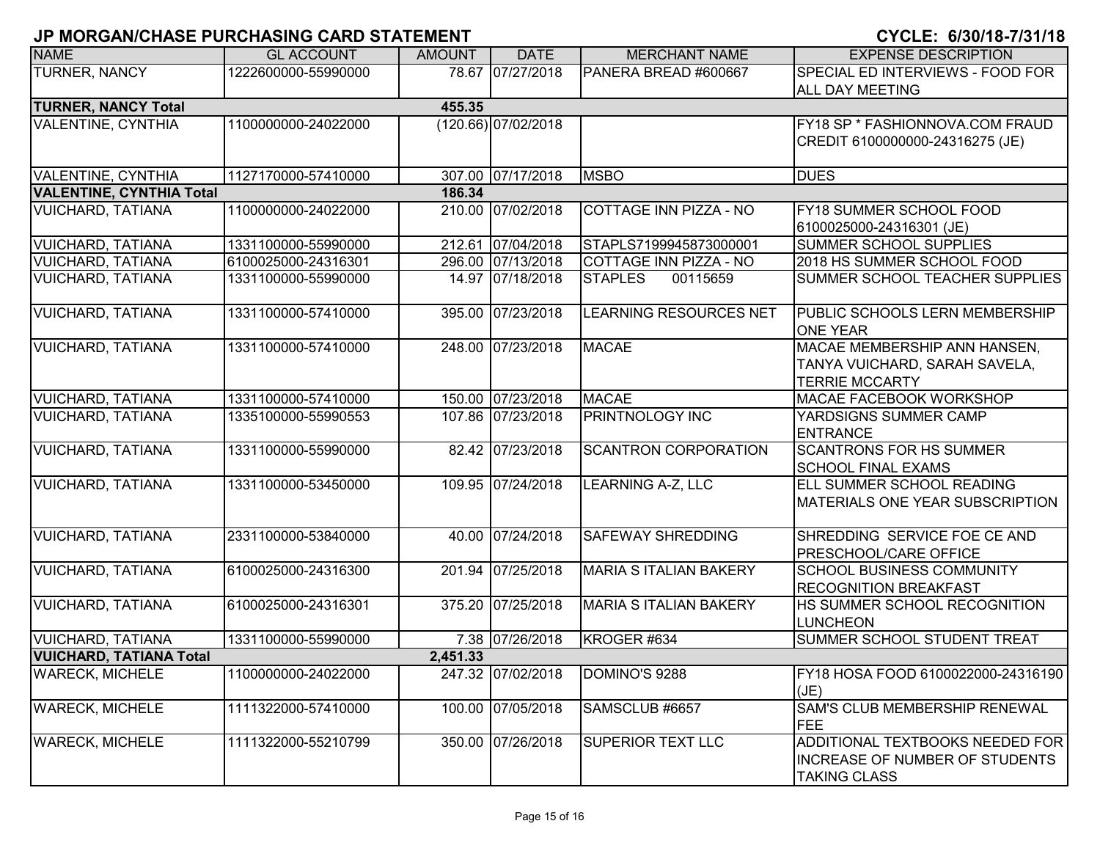|                                 | JE MUNJANJULAJE FUNVILAJING UAND JI ATEMENT |               |                     |                               | VIVLL. <i>VIJVI</i> IV-IIVIIIV                                                           |
|---------------------------------|---------------------------------------------|---------------|---------------------|-------------------------------|------------------------------------------------------------------------------------------|
| <b>NAME</b>                     | <b>GL ACCOUNT</b>                           | <b>AMOUNT</b> | <b>DATE</b>         | <b>MERCHANT NAME</b>          | <b>EXPENSE DESCRIPTION</b>                                                               |
| TURNER, NANCY                   | 1222600000-55990000                         |               | 78.67 07/27/2018    | PANERA BREAD #600667          | SPECIAL ED INTERVIEWS - FOOD FOR<br>ALL DAY MEETING                                      |
| <b>TURNER, NANCY Total</b>      |                                             | 455.35        |                     |                               |                                                                                          |
| VALENTINE, CYNTHIA              | 1100000000-24022000                         |               | (120.66) 07/02/2018 |                               | FY18 SP * FASHIONNOVA.COM FRAUD<br>CREDIT 6100000000-24316275 (JE)                       |
| <b>VALENTINE, CYNTHIA</b>       | 1127170000-57410000                         |               | 307.00 07/17/2018   | <b>MSBO</b>                   | <b>DUES</b>                                                                              |
| <b>VALENTINE, CYNTHIA Total</b> |                                             | 186.34        |                     |                               |                                                                                          |
| <b>VUICHARD, TATIANA</b>        | 1100000000-24022000                         |               | 210.00 07/02/2018   | <b>COTTAGE INN PIZZA - NO</b> | FY18 SUMMER SCHOOL FOOD<br>6100025000-24316301 (JE)                                      |
| <b>VUICHARD, TATIANA</b>        | 1331100000-55990000                         |               | 212.61 07/04/2018   | STAPLS7199945873000001        | SUMMER SCHOOL SUPPLIES                                                                   |
| <b>VUICHARD, TATIANA</b>        | 6100025000-24316301                         |               | 296.00 07/13/2018   | COTTAGE INN PIZZA - NO        | 2018 HS SUMMER SCHOOL FOOD                                                               |
| <b>VUICHARD, TATIANA</b>        | 1331100000-55990000                         |               | 14.97 07/18/2018    | <b>STAPLES</b><br>00115659    | SUMMER SCHOOL TEACHER SUPPLIES                                                           |
| <b>VUICHARD, TATIANA</b>        | 1331100000-57410000                         |               | 395.00 07/23/2018   | <b>LEARNING RESOURCES NET</b> | PUBLIC SCHOOLS LERN MEMBERSHIP<br><b>ONE YEAR</b>                                        |
| <b>VUICHARD, TATIANA</b>        | 1331100000-57410000                         |               | 248.00 07/23/2018   | <b>MACAE</b>                  | MACAE MEMBERSHIP ANN HANSEN,<br>TANYA VUICHARD, SARAH SAVELA,<br><b>TERRIE MCCARTY</b>   |
| <b>VUICHARD, TATIANA</b>        | 1331100000-57410000                         |               | 150.00 07/23/2018   | <b>MACAE</b>                  | MACAE FACEBOOK WORKSHOP                                                                  |
| <b>VUICHARD, TATIANA</b>        | 1335100000-55990553                         |               | 107.86 07/23/2018   | PRINTNOLOGY INC               | YARDSIGNS SUMMER CAMP<br><b>ENTRANCE</b>                                                 |
| <b>VUICHARD, TATIANA</b>        | 1331100000-55990000                         |               | 82.42 07/23/2018    | <b>SCANTRON CORPORATION</b>   | <b>SCANTRONS FOR HS SUMMER</b><br><b>SCHOOL FINAL EXAMS</b>                              |
| <b>VUICHARD, TATIANA</b>        | 1331100000-53450000                         |               | 109.95 07/24/2018   | <b>LEARNING A-Z, LLC</b>      | ELL SUMMER SCHOOL READING<br><b>MATERIALS ONE YEAR SUBSCRIPTION</b>                      |
| <b>VUICHARD, TATIANA</b>        | 2331100000-53840000                         |               | 40.00 07/24/2018    | <b>SAFEWAY SHREDDING</b>      | SHREDDING SERVICE FOE CE AND<br>PRESCHOOL/CARE OFFICE                                    |
| <b>VUICHARD, TATIANA</b>        | 6100025000-24316300                         |               | 201.94 07/25/2018   | <b>MARIA S ITALIAN BAKERY</b> | SCHOOL BUSINESS COMMUNITY<br>RECOGNITION BREAKFAST                                       |
| <b>VUICHARD, TATIANA</b>        | 6100025000-24316301                         |               | 375.20 07/25/2018   | <b>MARIA S ITALIAN BAKERY</b> | HS SUMMER SCHOOL RECOGNITION<br><b>LUNCHEON</b>                                          |
| <b>VUICHARD, TATIANA</b>        | 1331100000-55990000                         |               | 7.38 07/26/2018     | KROGER #634                   | SUMMER SCHOOL STUDENT TREAT                                                              |
| <b>VUICHARD, TATIANA Total</b>  |                                             | 2,451.33      |                     |                               |                                                                                          |
| <b>WARECK, MICHELE</b>          | 1100000000-24022000                         |               | 247.32 07/02/2018   | DOMINO'S 9288                 | FY18 HOSA FOOD 6100022000-24316190<br>(JE)                                               |
| <b>WARECK, MICHELE</b>          | 1111322000-57410000                         |               | 100.00 07/05/2018   | SAMSCLUB #6657                | SAM'S CLUB MEMBERSHIP RENEWAL<br><b>FEE</b>                                              |
| <b>WARECK, MICHELE</b>          | 1111322000-55210799                         |               | 350.00 07/26/2018   | <b>SUPERIOR TEXT LLC</b>      | ADDITIONAL TEXTBOOKS NEEDED FOR<br>INCREASE OF NUMBER OF STUDENTS<br><b>TAKING CLASS</b> |